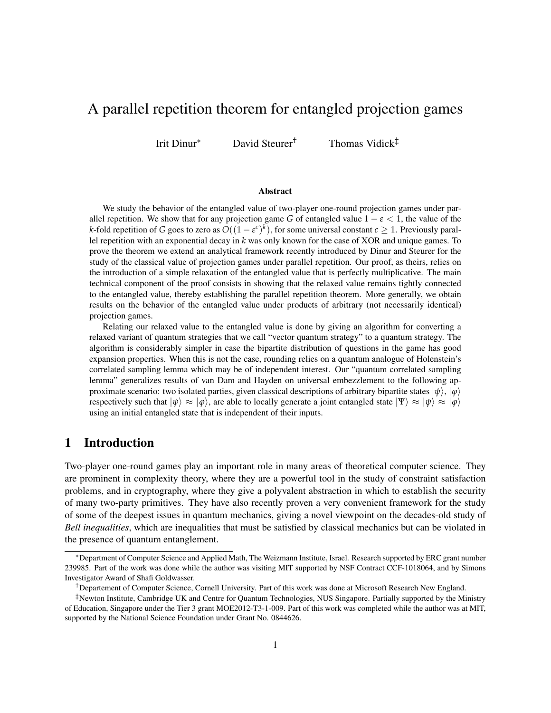# A parallel repetition theorem for entangled projection games

Irit Dinur<sup>∗</sup> David Steurer† Thomas Vidick‡

#### Abstract

We study the behavior of the entangled value of two-player one-round projection games under parallel repetition. We show that for any projection game *G* of entangled value  $1 - \varepsilon < 1$ , the value of the *k*-fold repetition of *G* goes to zero as  $O((1-\varepsilon^c)^k)$ , for some universal constant  $c\geq 1.$  Previously parallel repetition with an exponential decay in *k* was only known for the case of XOR and unique games. To prove the theorem we extend an analytical framework recently introduced by Dinur and Steurer for the study of the classical value of projection games under parallel repetition. Our proof, as theirs, relies on the introduction of a simple relaxation of the entangled value that is perfectly multiplicative. The main technical component of the proof consists in showing that the relaxed value remains tightly connected to the entangled value, thereby establishing the parallel repetition theorem. More generally, we obtain results on the behavior of the entangled value under products of arbitrary (not necessarily identical) projection games.

Relating our relaxed value to the entangled value is done by giving an algorithm for converting a relaxed variant of quantum strategies that we call "vector quantum strategy" to a quantum strategy. The algorithm is considerably simpler in case the bipartite distribution of questions in the game has good expansion properties. When this is not the case, rounding relies on a quantum analogue of Holenstein's correlated sampling lemma which may be of independent interest. Our "quantum correlated sampling lemma" generalizes results of van Dam and Hayden on universal embezzlement to the following approximate scenario: two isolated parties, given classical descriptions of arbitrary bipartite states  $|\psi\rangle$ ,  $|\varphi\rangle$ respectively such that  $|\psi\rangle \approx |\varphi\rangle$ , are able to locally generate a joint entangled state  $|\Psi\rangle \approx |\psi\rangle \approx |\varphi\rangle$ using an initial entangled state that is independent of their inputs.

### 1 Introduction

Two-player one-round games play an important role in many areas of theoretical computer science. They are prominent in complexity theory, where they are a powerful tool in the study of constraint satisfaction problems, and in cryptography, where they give a polyvalent abstraction in which to establish the security of many two-party primitives. They have also recently proven a very convenient framework for the study of some of the deepest issues in quantum mechanics, giving a novel viewpoint on the decades-old study of *Bell inequalities*, which are inequalities that must be satisfied by classical mechanics but can be violated in the presence of quantum entanglement.

<sup>∗</sup>Department of Computer Science and Applied Math, The Weizmann Institute, Israel. Research supported by ERC grant number 239985. Part of the work was done while the author was visiting MIT supported by NSF Contract CCF-1018064, and by Simons Investigator Award of Shafi Goldwasser.

<sup>†</sup>Departement of Computer Science, Cornell University. Part of this work was done at Microsoft Research New England.

<sup>‡</sup>Newton Institute, Cambridge UK and Centre for Quantum Technologies, NUS Singapore. Partially supported by the Ministry of Education, Singapore under the Tier 3 grant MOE2012-T3-1-009. Part of this work was completed while the author was at MIT, supported by the National Science Foundation under Grant No. 0844626.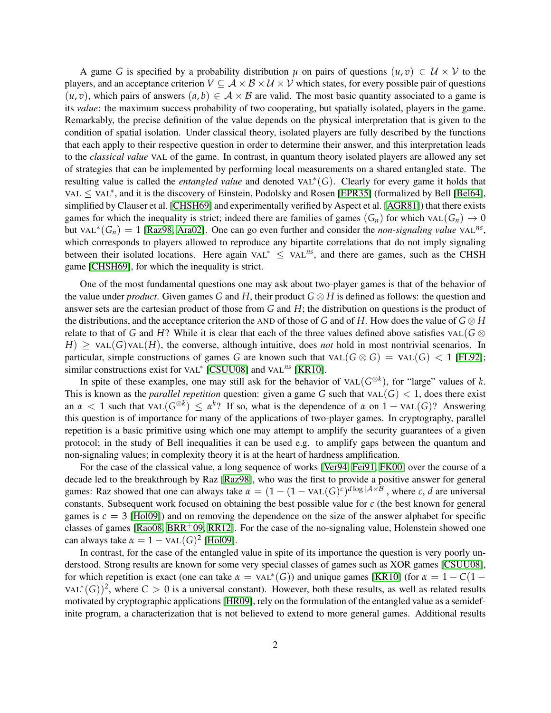A game *G* is specified by a probability distribution  $\mu$  on pairs of questions  $(u, v) \in U \times V$  to the players, and an acceptance criterion  $V \subseteq A \times B \times U \times V$  which states, for every possible pair of questions  $(u, v)$ , which pairs of answers  $(a, b) \in \mathcal{A} \times \mathcal{B}$  are valid. The most basic quantity associated to a game is its *value*: the maximum success probability of two cooperating, but spatially isolated, players in the game. Remarkably, the precise definition of the value depends on the physical interpretation that is given to the condition of spatial isolation. Under classical theory, isolated players are fully described by the functions that each apply to their respective question in order to determine their answer, and this interpretation leads to the *classical value* VAL of the game. In contrast, in quantum theory isolated players are allowed any set of strategies that can be implemented by performing local measurements on a shared entangled state. The resulting value is called the *entangled value* and denoted VAL<sup>∗</sup> (*G*). Clearly for every game it holds that VAL ≤ VAL<sup>\*</sup>, and it is the discovery of Einstein, Podolsky and Rosen [\[EPR35\]](#page-27-0) (formalized by Bell [\[Bel64\]](#page-27-1), simplified by Clauser et al. [\[CHSH69\]](#page-27-2) and experimentally verified by Aspect et al. [\[AGR81\]](#page-27-3)) that there exists games for which the inequality is strict; indeed there are families of games  $(G_n)$  for which VAL $(G_n) \to 0$ but VAL<sup>\*</sup>( $G_n$ ) = 1 [\[Raz98,](#page-28-0) [Ara02\]](#page-27-4). One can go even further and consider the *non-signaling value* VAL<sup>ns</sup>, which corresponds to players allowed to reproduce any bipartite correlations that do not imply signaling between their isolated locations. Here again VAL<sup>∗</sup> ≤ VAL*ns*, and there are games, such as the CHSH game [\[CHSH69\]](#page-27-2), for which the inequality is strict.

One of the most fundamental questions one may ask about two-player games is that of the behavior of the value under *product*. Given games *G* and *H*, their product *G* ⊗ *H* is defined as follows: the question and answer sets are the cartesian product of those from *G* and *H*; the distribution on questions is the product of the distributions, and the acceptance criterion the AND of those of *G* and of *H*. How does the value of  $G \otimes H$ relate to that of *G* and *H*? While it is clear that each of the three values defined above satisfies VAL( $G \otimes$  $H$ )  $\geq$  VAL(*G*)VAL(*H*), the converse, although intuitive, does *not* hold in most nontrivial scenarios. In particular, simple constructions of games *G* are known such that  $\text{VAL}(G \otimes G) = \text{VAL}(G) < 1$  [\[FL92\]](#page-27-5); similar constructions exist for VAL<sup>\*</sup> [\[CSUU08\]](#page-27-6) and VAL<sup>ns</sup> [\[KR10\]](#page-28-1).

In spite of these examples, one may still ask for the behavior of  $VAL(G^{\otimes k})$ , for "large" values of *k*. This is known as the *parallel repetition* question: given a game *G* such that  $\text{VAL}(G) < 1$ , does there exist an  $\alpha$  < 1 such that VAL( $G^{\otimes k}$ )  $\leq \alpha^k$ ? If so, what is the dependence of  $\alpha$  on  $1 - \text{VAL}(G)$ ? Answering this question is of importance for many of the applications of two-player games. In cryptography, parallel repetition is a basic primitive using which one may attempt to amplify the security guarantees of a given protocol; in the study of Bell inequalities it can be used e.g. to amplify gaps between the quantum and non-signaling values; in complexity theory it is at the heart of hardness amplification.

For the case of the classical value, a long sequence of works [\[Ver94,](#page-29-0) [Fei91,](#page-27-7) [FK00\]](#page-27-8) over the course of a decade led to the breakthrough by Raz [\[Raz98\]](#page-28-0), who was the first to provide a positive answer for general games: Raz showed that one can always take  $\alpha = (1 - (1 - \text{VAL}(G)^c)^{d \log |\mathcal{A} \times \mathcal{B}|}$ , where *c*, *d* are universal constants. Subsequent work focused on obtaining the best possible value for *c* (the best known for general games is  $c = 3$  [\[Hol09\]](#page-28-2)) and on removing the dependence on the size of the answer alphabet for specific classes of games [\[Rao08,](#page-28-3)  $BRR<sup>+</sup>09$ ,  $RR12$ ]. For the case of the no-signaling value, Holenstein showed one can always take  $\alpha = 1 - \text{VAL}(G)^2$  [\[Hol09\]](#page-28-2).

In contrast, for the case of the entangled value in spite of its importance the question is very poorly understood. Strong results are known for some very special classes of games such as XOR games [\[CSUU08\]](#page-27-6), for which repetition is exact (one can take  $\alpha = \text{VAL}^*(G)$ ) and unique games [\[KR10\]](#page-28-1) (for  $\alpha = 1 - C(1 -$ VAL<sup>\*</sup>(G))<sup>2</sup>, where  $C > 0$  is a universal constant). However, both these results, as well as related results motivated by cryptographic applications [\[HR09\]](#page-28-5), rely on the formulation of the entangled value as a semidefinite program, a characterization that is not believed to extend to more general games. Additional results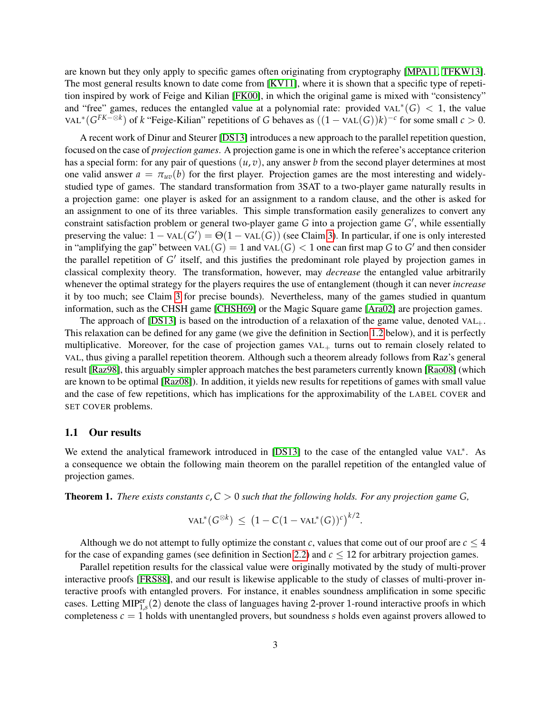are known but they only apply to specific games often originating from cryptography [\[MPA11,](#page-28-6) [TFKW13\]](#page-29-1). The most general results known to date come from [\[KV11\]](#page-28-7), where it is shown that a specific type of repetition inspired by work of Feige and Kilian [\[FK00\]](#page-27-8), in which the original game is mixed with "consistency" and "free" games, reduces the entangled value at a polynomial rate: provided VAL<sup>\*</sup>(G) < 1, the value VAL<sup>\*</sup>( $G^{FK-®k}$ ) of *k* "Feige-Kilian" repetitions of *G* behaves as  $((1 - \text{VAL}(G))k)^{-c}$  for some small  $c > 0$ .

A recent work of Dinur and Steurer [\[DS13\]](#page-27-10) introduces a new approach to the parallel repetition question, focused on the case of *projection games*. A projection game is one in which the referee's acceptance criterion has a special form: for any pair of questions (*u*, *v*), any answer *b* from the second player determines at most one valid answer  $a = \pi_{uv}(b)$  for the first player. Projection games are the most interesting and widelystudied type of games. The standard transformation from 3SAT to a two-player game naturally results in a projection game: one player is asked for an assignment to a random clause, and the other is asked for an assignment to one of its three variables. This simple transformation easily generalizes to convert any constraint satisfaction problem or general two-player game *G* into a projection game *G'*, while essentially preserving the value:  $1 - \text{VAL}(G') = \Theta(1 - \text{VAL}(G))$  (see Claim [3\)](#page-9-0). In particular, if one is only interested in "amplifying the gap" between  $\text{VAL}(G) = 1$  and  $\text{VAL}(G) < 1$  one can first map G to G' and then consider the parallel repetition of G' itself, and this justifies the predominant role played by projection games in classical complexity theory. The transformation, however, may *decrease* the entangled value arbitrarily whenever the optimal strategy for the players requires the use of entanglement (though it can never *increase* it by too much; see Claim [3](#page-9-0) for precise bounds). Nevertheless, many of the games studied in quantum information, such as the CHSH game [\[CHSH69\]](#page-27-2) or the Magic Square game [\[Ara02\]](#page-27-4) are projection games.

The approach of [\[DS13\]](#page-27-10) is based on the introduction of a relaxation of the game value, denoted  $VAL_+$ . This relaxation can be defined for any game (we give the definition in Section [1.2](#page-3-0) below), and it is perfectly multiplicative. Moreover, for the case of projection games  $VAL<sub>+</sub>$  turns out to remain closely related to VAL, thus giving a parallel repetition theorem. Although such a theorem already follows from Raz's general result [\[Raz98\]](#page-28-0), this arguably simpler approach matches the best parameters currently known [\[Rao08\]](#page-28-3) (which are known to be optimal [\[Raz08\]](#page-28-8)). In addition, it yields new results for repetitions of games with small value and the case of few repetitions, which has implications for the approximability of the LABEL COVER and SET COVER problems.

#### 1.1 Our results

We extend the analytical framework introduced in [\[DS13\]](#page-27-10) to the case of the entangled value VAL<sup>∗</sup>. As a consequence we obtain the following main theorem on the parallel repetition of the entangled value of projection games.

<span id="page-2-0"></span>**Theorem 1.** There exists constants  $c, C > 0$  such that the following holds. For any projection game G,

$$
\text{VAL}^*(G^{\otimes k}) \ \leq \ \big(1 - C(1 - \text{VAL}^*(G))^c\big)^{k/2}.
$$

Although we do not attempt to fully optimize the constant *c*, values that come out of our proof are  $c < 4$ for the case of expanding games (see definition in Section [2.2\)](#page-6-0) and *c* ≤ 12 for arbitrary projection games.

Parallel repetition results for the classical value were originally motivated by the study of multi-prover interactive proofs [\[FRS88\]](#page-27-11), and our result is likewise applicable to the study of classes of multi-prover interactive proofs with entangled provers. For instance, it enables soundness amplification in some specific cases. Letting MIP<sup>er</sup><sub>1,s</sub>(2) denote the class of languages having 2-prover 1-round interactive proofs in which completeness  $c = 1$  holds with unentangled provers, but soundness *s* holds even against provers allowed to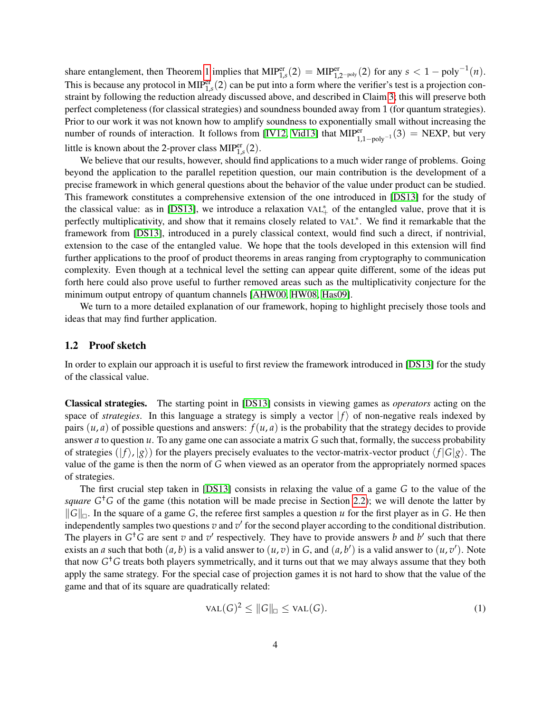share entanglement, then Theorem [1](#page-2-0) implies that  $MIP_{1,s}^{er}(2) = MIP_{1,2-poly}^{er}(2)$  for any  $s < 1 - \text{poly}^{-1}(n)$ . This is because any protocol in  $MIP_{1,s}^{er}(2)$  can be put into a form where the verifier's test is a projection constraint by following the reduction already discussed above, and described in Claim [3;](#page-9-0) this will preserve both perfect completeness (for classical strategies) and soundness bounded away from 1 (for quantum strategies). Prior to our work it was not known how to amplify soundness to exponentially small without increasing the number of rounds of interaction. It follows from [\[IV12,](#page-28-9) [Vid13\]](#page-29-2) that  $MIP_{1,1-poly^{-1}}^{er}(3) = NEXP$ , but very little is known about the 2-prover class  $MIP_{1,s}^{er}(2)$ .

We believe that our results, however, should find applications to a much wider range of problems. Going beyond the application to the parallel repetition question, our main contribution is the development of a precise framework in which general questions about the behavior of the value under product can be studied. This framework constitutes a comprehensive extension of the one introduced in [\[DS13\]](#page-27-10) for the study of the classical value: as in [\[DS13\]](#page-27-10), we introduce a relaxation  $VAL<sub>+</sub><sup>*</sup>$  of the entangled value, prove that it is perfectly multiplicativity, and show that it remains closely related to VAL<sup>∗</sup>. We find it remarkable that the framework from [\[DS13\]](#page-27-10), introduced in a purely classical context, would find such a direct, if nontrivial, extension to the case of the entangled value. We hope that the tools developed in this extension will find further applications to the proof of product theorems in areas ranging from cryptography to communication complexity. Even though at a technical level the setting can appear quite different, some of the ideas put forth here could also prove useful to further removed areas such as the multiplicativity conjecture for the minimum output entropy of quantum channels [\[AHW00,](#page-27-12) [HW08,](#page-28-10) [Has09\]](#page-28-11).

We turn to a more detailed explanation of our framework, hoping to highlight precisely those tools and ideas that may find further application.

#### <span id="page-3-0"></span>1.2 Proof sketch

In order to explain our approach it is useful to first review the framework introduced in [\[DS13\]](#page-27-10) for the study of the classical value.

Classical strategies. The starting point in [\[DS13\]](#page-27-10) consists in viewing games as *operators* acting on the space of *strategies*. In this language a strategy is simply a vector  $|f\rangle$  of non-negative reals indexed by pairs  $(u, a)$  of possible questions and answers:  $f(u, a)$  is the probability that the strategy decides to provide answer *a* to question *u*. To any game one can associate a matrix *G* such that, formally, the success probability of strategies  $(|f\rangle, |g\rangle)$  for the players precisely evaluates to the vector-matrix-vector product  $\langle f|G|g\rangle$ . The value of the game is then the norm of *G* when viewed as an operator from the appropriately normed spaces of strategies.

The first crucial step taken in [\[DS13\]](#page-27-10) consists in relaxing the value of a game *G* to the value of the *square*  $G<sup>†</sup>G$  of the game (this notation will be made precise in Section [2.2\)](#page-6-0); we will denote the latter by  $||G||_{\Box}$ . In the square of a game *G*, the referee first samples a question *u* for the first player as in *G*. He then independently samples two questions  $v$  and  $v'$  for the second player according to the conditional distribution. The players in  $G^{\dagger}G$  are sent *v* and *v*<sup> $\prime$ </sup> respectively. They have to provide answers *b* and *b*<sup> $\prime$ </sup> such that there exists an *a* such that both  $(a, b)$  is a valid answer to  $(u, v)$  in *G*, and  $(a, b')$  is a valid answer to  $(u, v')$ . Note that now *G* †*G* treats both players symmetrically, and it turns out that we may always assume that they both apply the same strategy. For the special case of projection games it is not hard to show that the value of the game and that of its square are quadratically related:

<span id="page-3-1"></span>
$$
VAL(G)^2 \le ||G||_{\square} \le \text{VAL}(G). \tag{1}
$$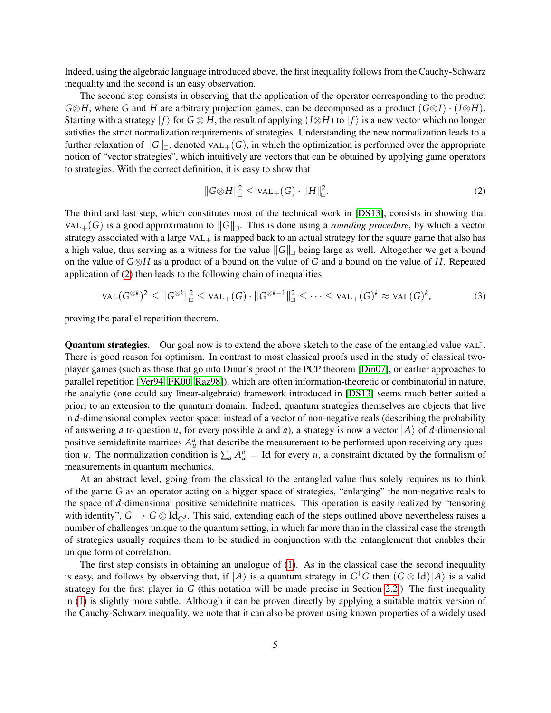Indeed, using the algebraic language introduced above, the first inequality follows from the Cauchy-Schwarz inequality and the second is an easy observation.

The second step consists in observing that the application of the operator corresponding to the product *G*⊗*H*, where *G* and *H* are arbitrary projection games, can be decomposed as a product (*G*⊗*I*) · (*I*⊗*H*). Starting with a strategy  $|f\rangle$  for  $G \otimes H$ , the result of applying  $(I \otimes H)$  to  $|f\rangle$  is a new vector which no longer satisfies the strict normalization requirements of strategies. Understanding the new normalization leads to a further relaxation of  $||G||_{\square}$ , denoted VAL<sub>+</sub>(*G*), in which the optimization is performed over the appropriate notion of "vector strategies", which intuitively are vectors that can be obtained by applying game operators to strategies. With the correct definition, it is easy to show that

<span id="page-4-0"></span>
$$
||G \otimes H||_{\Box}^{2} \leq \text{VAL}_{+}(G) \cdot ||H||_{\Box}^{2}.
$$
 (2)

The third and last step, which constitutes most of the technical work in [\[DS13\]](#page-27-10), consists in showing that VAL<sub>+</sub>(*G*) is a good approximation to  $||G||_{\Box}$ . This is done using a *rounding procedure*, by which a vector strategy associated with a large  $VAL<sub>+</sub>$  is mapped back to an actual strategy for the square game that also has a high value, thus serving as a witness for the value  $||G||_{\Box}$  being large as well. Altogether we get a bound on the value of *G*⊗*H* as a product of a bound on the value of *G* and a bound on the value of *H*. Repeated application of [\(2\)](#page-4-0) then leads to the following chain of inequalities

<span id="page-4-1"></span>
$$
\text{VAL}(G^{\otimes k})^2 \leq \|G^{\otimes k}\|_{\square}^2 \leq \text{VAL}_+(G) \cdot \|G^{\otimes k-1}\|_{\square}^2 \leq \cdots \leq \text{VAL}_+(G)^k \approx \text{VAL}(G)^k,\tag{3}
$$

proving the parallel repetition theorem.

Quantum strategies. Our goal now is to extend the above sketch to the case of the entangled value VAL<sup>\*</sup>. There is good reason for optimism. In contrast to most classical proofs used in the study of classical twoplayer games (such as those that go into Dinur's proof of the PCP theorem [\[Din07\]](#page-27-13), or earlier approaches to parallel repetition [\[Ver94,](#page-29-0) [FK00,](#page-27-8) [Raz98\]](#page-28-0)), which are often information-theoretic or combinatorial in nature, the analytic (one could say linear-algebraic) framework introduced in [\[DS13\]](#page-27-10) seems much better suited a priori to an extension to the quantum domain. Indeed, quantum strategies themselves are objects that live in *d*-dimensional complex vector space: instead of a vector of non-negative reals (describing the probability of answering *a* to question *u*, for every possible *u* and *a*), a strategy is now a vector  $|A\rangle$  of *d*-dimensional positive semidefinite matrices  $A_u^a$  that describe the measurement to be performed upon receiving any question *u*. The normalization condition is  $\sum_a A^a_\mu = \text{Id}$  for every *u*, a constraint dictated by the formalism of measurements in quantum mechanics.

At an abstract level, going from the classical to the entangled value thus solely requires us to think of the game *G* as an operator acting on a bigger space of strategies, "enlarging" the non-negative reals to the space of *d*-dimensional positive semidefinite matrices. This operation is easily realized by "tensoring with identity",  $G \to G \otimes \mathrm{Id}_{\mathbb{C}^d}$ . This said, extending each of the steps outlined above nevertheless raises a number of challenges unique to the quantum setting, in which far more than in the classical case the strength of strategies usually requires them to be studied in conjunction with the entanglement that enables their unique form of correlation.

The first step consists in obtaining an analogue of [\(1\)](#page-3-1). As in the classical case the second inequality is easy, and follows by observing that, if  $|A\rangle$  is a quantum strategy in  $G<sup>\dagger</sup>G$  then  $(G \otimes Id)|A\rangle$  is a valid strategy for the first player in *G* (this notation will be made precise in Section [2.2.](#page-6-0)) The first inequality in [\(1\)](#page-3-1) is slightly more subtle. Although it can be proven directly by applying a suitable matrix version of the Cauchy-Schwarz inequality, we note that it can also be proven using known properties of a widely used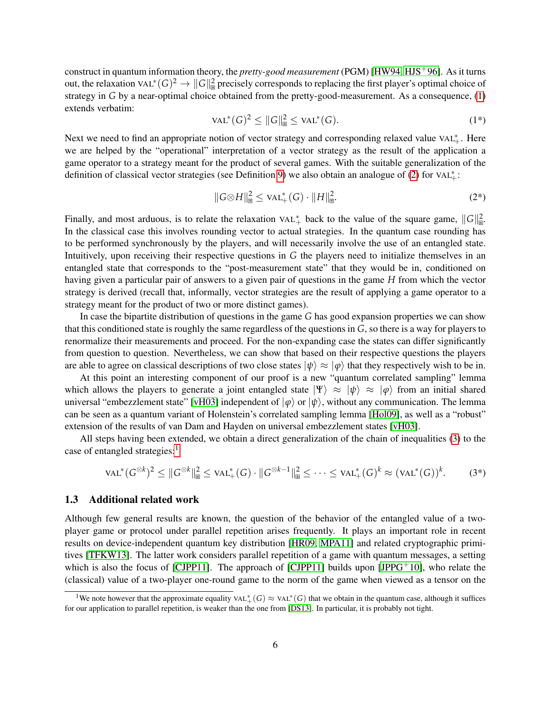construct in quantum information theory, the *pretty-good measurement* (PGM) [\[HW94,](#page-28-12) [HJS](#page-28-13)+96]. As it turns out, the relaxation VAL<sup>\*</sup>(*G*)<sup>2</sup> →  $||G||_{\mathbb{B}}^2$  precisely corresponds to replacing the first player's optimal choice of strategy in *G* by a near-optimal choice obtained from the pretty-good-measurement. As a consequence, [\(1\)](#page-3-1) extends verbatim:

$$
\text{VAL}^*(G)^2 \le ||G||_{\mathfrak{B}}^2 \le \text{VAL}^*(G). \tag{1*}
$$

Next we need to find an appropriate notion of vector strategy and corresponding relaxed value VAL<sup>∗</sup><sub>+</sub>. Here we are helped by the "operational" interpretation of a vector strategy as the result of the application a game operator to a strategy meant for the product of several games. With the suitable generalization of the definition of classical vector strategies (see Definition [9\)](#page-12-0) we also obtain an analogue of [\(2\)](#page-4-0) for  $VAL^*$ .

$$
||G \otimes H||_{\mathbb{B}}^{2} \leq \text{VAL}_{+}^{*}(G) \cdot ||H||_{\mathbb{B}}^{2}.
$$
 (2\*)

Finally, and most arduous, is to relate the relaxation  $VAL<sup>*</sup><sub>+</sub>$  back to the value of the square game,  $||G||_{B}^{2}$ . In the classical case this involves rounding vector to actual strategies. In the quantum case rounding has to be performed synchronously by the players, and will necessarily involve the use of an entangled state. Intuitively, upon receiving their respective questions in *G* the players need to initialize themselves in an entangled state that corresponds to the "post-measurement state" that they would be in, conditioned on having given a particular pair of answers to a given pair of questions in the game *H* from which the vector strategy is derived (recall that, informally, vector strategies are the result of applying a game operator to a strategy meant for the product of two or more distinct games).

In case the bipartite distribution of questions in the game *G* has good expansion properties we can show that this conditioned state is roughly the same regardless of the questions in *G*, so there is a way for players to renormalize their measurements and proceed. For the non-expanding case the states can differ significantly from question to question. Nevertheless, we can show that based on their respective questions the players are able to agree on classical descriptions of two close states  $|\psi\rangle \approx |\varphi\rangle$  that they respectively wish to be in.

At this point an interesting component of our proof is a new "quantum correlated sampling" lemma which allows the players to generate a joint entangled state  $|\Psi\rangle \approx |\psi\rangle \approx |\phi\rangle$  from an initial shared universal "embezzlement state" [\[vH03\]](#page-29-3) independent of  $|\varphi\rangle$  or  $|\psi\rangle$ , without any communication. The lemma can be seen as a quantum variant of Holenstein's correlated sampling lemma [\[Hol09\]](#page-28-2), as well as a "robust" extension of the results of van Dam and Hayden on universal embezzlement states [\[vH03\]](#page-29-3).

All steps having been extended, we obtain a direct generalization of the chain of inequalities [\(3\)](#page-4-1) to the case of entangled strategies:<sup>[1](#page-5-0)</sup>

$$
\text{VAL}^*(G^{\otimes k})^2 \leq \|G^{\otimes k}\|_{\text{B}}^2 \leq \text{VAL}_+^*(G) \cdot \|G^{\otimes k-1}\|_{\text{B}}^2 \leq \cdots \leq \text{VAL}_+^*(G)^k \approx (\text{VAL}^*(G))^k. \tag{3*}
$$

### 1.3 Additional related work

Although few general results are known, the question of the behavior of the entangled value of a twoplayer game or protocol under parallel repetition arises frequently. It plays an important role in recent results on device-independent quantum key distribution [\[HR09,](#page-28-5) [MPA11\]](#page-28-6) and related cryptographic primitives [\[TFKW13\]](#page-29-1). The latter work considers parallel repetition of a game with quantum messages, a setting which is also the focus of [\[CJPP11\]](#page-27-14). The approach of [CJPP11] builds upon [\[JPPG](#page-28-14)+10], who relate the (classical) value of a two-player one-round game to the norm of the game when viewed as a tensor on the

<span id="page-5-0"></span><sup>&</sup>lt;sup>1</sup>We note however that the approximate equality  $VAL^*(G) \approx \text{VAL}^*(G)$  that we obtain in the quantum case, although it suffices for our application to parallel repetition, is weaker than the one from [\[DS13\]](#page-27-10). In particular, it is probably not tight.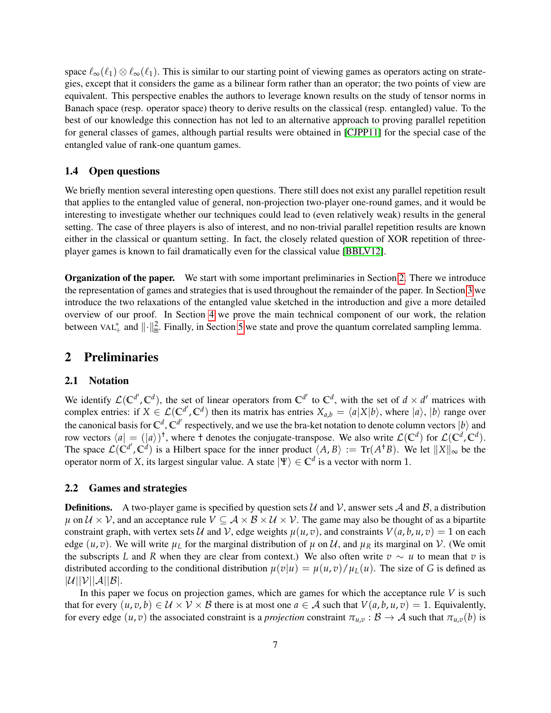space  $\ell_{\infty}(\ell_1) \otimes \ell_{\infty}(\ell_1)$ . This is similar to our starting point of viewing games as operators acting on strategies, except that it considers the game as a bilinear form rather than an operator; the two points of view are equivalent. This perspective enables the authors to leverage known results on the study of tensor norms in Banach space (resp. operator space) theory to derive results on the classical (resp. entangled) value. To the best of our knowledge this connection has not led to an alternative approach to proving parallel repetition for general classes of games, although partial results were obtained in [\[CJPP11\]](#page-27-14) for the special case of the entangled value of rank-one quantum games.

### 1.4 Open questions

We briefly mention several interesting open questions. There still does not exist any parallel repetition result that applies to the entangled value of general, non-projection two-player one-round games, and it would be interesting to investigate whether our techniques could lead to (even relatively weak) results in the general setting. The case of three players is also of interest, and no non-trivial parallel repetition results are known either in the classical or quantum setting. In fact, the closely related question of XOR repetition of threeplayer games is known to fail dramatically even for the classical value [\[BBLV12\]](#page-27-15).

Organization of the paper. We start with some important preliminaries in Section [2.](#page-6-1) There we introduce the representation of games and strategies that is used throughout the remainder of the paper. In Section [3](#page-9-1) we introduce the two relaxations of the entangled value sketched in the introduction and give a more detailed overview of our proof. In Section [4](#page-13-0) we prove the main technical component of our work, the relation between  $\text{VAL}_+^*$  and  $\|\cdot\|_{\mathbb{B}}^2$ . Finally, in Section [5](#page-21-0) we state and prove the quantum correlated sampling lemma.

### <span id="page-6-1"></span>2 Preliminaries

### 2.1 Notation

We identify  $\mathcal{L}(\mathbb{C}^{d'}, \mathbb{C}^d)$ , the set of linear operators from  $\mathbb{C}^{d'}$  to  $\mathbb{C}^d$ , with the set of  $d \times d'$  matrices with complex entries: if  $X \in \mathcal{L}(\mathbb{C}^{d'}, \mathbb{C}^d)$  then its matrix has entries  $X_{a,b} = \langle a | X | b \rangle$ , where  $|a\rangle$ ,  $|b\rangle$  range over the canonical basis for  $\mathbb{C}^d$ ,  $\mathbb{C}^{d'}$  respectively, and we use the bra-ket notation to denote column vectors  $|b\rangle$  and row vectors  $\langle a| = (|a\rangle)^{\dagger}$ , where  $\dagger$  denotes the conjugate-transpose. We also write  $\mathcal{L}(\mathbb{C}^d)$  for  $\mathcal{L}(\mathbb{C}^d, \mathbb{C}^d)$ . The space  $\mathcal{L}(\mathbb{C}^{d'}, \mathbb{C}^{d'})$  is a Hilbert space for the inner product  $\langle A, B \rangle := \text{Tr}(A^{\dagger}B)$ . We let  $||X||_{\infty}$  be the operator norm of *X*, its largest singular value. A state  $|\Psi\rangle \in \mathbb{C}^d$  is a vector with norm 1.

#### <span id="page-6-0"></span>2.2 Games and strategies

**Definitions.** A two-player game is specified by question sets  $\mathcal{U}$  and  $\mathcal{V}$ , answer sets  $\mathcal{A}$  and  $\mathcal{B}$ , a distribution  $\mu$  on  $\mathcal{U} \times \mathcal{V}$ , and an acceptance rule  $V \subseteq \mathcal{A} \times \mathcal{B} \times \mathcal{U} \times \mathcal{V}$ . The game may also be thought of as a bipartite constraint graph, with vertex sets U and V, edge weights  $\mu(u, v)$ , and constraints  $V(a, b, u, v) = 1$  on each edge  $(u, v)$ . We will write  $\mu_L$  for the marginal distribution of  $\mu$  on  $\mathcal{U}$ , and  $\mu_R$  its marginal on  $\mathcal{V}$ . (We omit the subscripts *L* and *R* when they are clear from context.) We also often write  $v \sim u$  to mean that *v* is distributed according to the conditional distribution  $\mu(v|u) = \mu(u,v)/\mu_L(u)$ . The size of *G* is defined as  $|\mathcal{U}||\mathcal{V}||\mathcal{A}||\mathcal{B}|.$ 

In this paper we focus on projection games, which are games for which the acceptance rule *V* is such that for every  $(u, v, b) \in \mathcal{U} \times \mathcal{V} \times \mathcal{B}$  there is at most one  $a \in \mathcal{A}$  such that  $V(a, b, u, v) = 1$ . Equivalently, for every edge  $(u, v)$  the associated constraint is a *projection* constraint  $\pi_{u,v} : \mathcal{B} \to \mathcal{A}$  such that  $\pi_{u,v}(b)$  is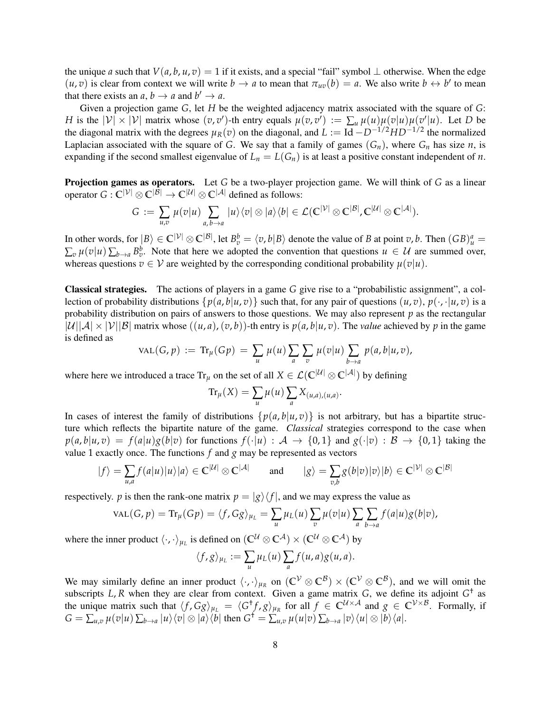the unique *a* such that  $V(a, b, u, v) = 1$  if it exists, and a special "fail" symbol  $\perp$  otherwise. When the edge  $(u, v)$  is clear from context we will write  $b \to a$  to mean that  $\pi_{uv}(b) = a$ . We also write  $b \leftrightarrow b'$  to mean that there exists an  $a, b \rightarrow a$  and  $b' \rightarrow a$ .

Given a projection game *G*, let *H* be the weighted adjacency matrix associated with the square of *G*: *H* is the  $|V| \times |V|$  matrix whose  $(v, v')$ -th entry equals  $\mu(v, v') := \sum_u \mu(u) \mu(v|u) \mu(v'|u)$ . Let *D* be the diagonal matrix with the degrees  $\mu_R(v)$  on the diagonal, and  $L := Id - D^{-1/2}HD^{-1/2}$  the normalized Laplacian associated with the square of *G*. We say that a family of games  $(G_n)$ , where  $G_n$  has size *n*, is expanding if the second smallest eigenvalue of  $L_n = L(G_n)$  is at least a positive constant independent of *n*.

Projection games as operators. Let *G* be a two-player projection game. We will think of *G* as a linear operator  $G: \mathbb{C}^{|\mathcal{V}|} \otimes \mathbb{C}^{|\mathcal{B}|} \to \mathbb{C}^{|\mathcal{U}|} \otimes \mathbb{C}^{|\mathcal{A}|}$  defined as follows:

$$
G := \sum_{u,v} \mu(v|u) \sum_{a,b\to a} |u\rangle\langle v| \otimes |a\rangle\langle b| \in \mathcal{L}(\mathbb{C}^{|\mathcal{V}|} \otimes \mathbb{C}^{|\mathcal{B}|}, \mathbb{C}^{|\mathcal{U}|} \otimes \mathbb{C}^{|\mathcal{A}|}).
$$

In other words, for  $|B\rangle \in \mathbb{C}^{|\mathcal{V}|} \otimes \mathbb{C}^{|\mathcal{B}|}$ , let  $B_v^b = \langle v, b | B \rangle$  denote the value of *B* at point *v*, *b*. Then  $(GB)_u^a =$  $\sum_{v} \mu(v|u) \sum_{b\to a} B_v^b$ . Note that here we adopted the convention that questions  $u \in U$  are summed over, whereas questions  $v \in V$  are weighted by the corresponding conditional probability  $\mu(v|u)$ .

Classical strategies. The actions of players in a game *G* give rise to a "probabilistic assignment", a collection of probability distributions  $\{p(a, b|u, v)\}$  such that, for any pair of questions  $(u, v), p(\cdot, \cdot |u, v)$  is a probability distribution on pairs of answers to those questions. We may also represent *p* as the rectangular  $|\mathcal{U}||\mathcal{A}| \times |\mathcal{V}||\mathcal{B}|$  matrix whose  $((u, a), (v, b))$ -th entry is  $p(a, b|u, v)$ . The *value* achieved by p in the game is defined as

$$
VAL(G, p) := Tr_{\mu}(Gp) = \sum_{u} \mu(u) \sum_{a} \sum_{v} \mu(v|u) \sum_{b \to a} p(a, b|u, v),
$$

where here we introduced a trace  $Tr_{\mu}$  on the set of all  $X \in \mathcal{L}(\mathbb{C}^{|\mathcal{U}|} \otimes \mathbb{C}^{|\mathcal{A}|})$  by defining

$$
\operatorname{Tr}_{\mu}(X) = \sum_{u} \mu(u) \sum_{a} X_{(u,a),(u,a)}.
$$

In cases of interest the family of distributions  $\{p(a, b|u, v)\}$  is not arbitrary, but has a bipartite structure which reflects the bipartite nature of the game. *Classical* strategies correspond to the case when  $p(a,b|u,v) = f(a|u)g(b|v)$  for functions  $f(\cdot|u) : A \to \{0,1\}$  and  $g(\cdot|v) : B \to \{0,1\}$  taking the value 1 exactly once. The functions *f* and *g* may be represented as vectors

$$
|f\rangle = \sum_{u,a} f(a|u)|u\rangle |a\rangle \in \mathbb{C}^{|\mathcal{U}|} \otimes \mathbb{C}^{|\mathcal{A}|} \quad \text{and} \quad |g\rangle = \sum_{v,b} g(b|v)|v\rangle |b\rangle \in \mathbb{C}^{|\mathcal{V}|} \otimes \mathbb{C}^{|\mathcal{B}|}
$$

respectively. *p* is then the rank-one matrix  $p = |g\rangle\langle f|$ , and we may express the value as

$$
\text{VAL}(G, p) = \text{Tr}_{\mu}(Gp) = \langle f, Gg \rangle_{\mu_L} = \sum_{u} \mu_L(u) \sum_{v} \mu(v|u) \sum_{a} \sum_{b \to a} f(a|u)g(b|v),
$$

where the inner product  $\langle \cdot, \cdot \rangle_{\mu_L}$  is defined on  $(\mathbb{C}^{\mathcal{U}} \otimes \mathbb{C}^{\mathcal{A}}) \times (\mathbb{C}^{\mathcal{U}} \otimes \mathbb{C}^{\mathcal{A}})$  by

$$
\langle f,g \rangle_{\mu_L} := \sum_u \mu_L(u) \sum_a f(u,a) g(u,a).
$$

We may similarly define an inner product  $\langle \cdot, \cdot \rangle_{\mu_R}$  on  $(\mathbb{C}^{\mathcal{V}} \otimes \mathbb{C}^{\mathcal{B}}) \times (\mathbb{C}^{\mathcal{V}} \otimes \mathbb{C}^{\mathcal{B}})$ , and we will omit the subscripts L, R when they are clear from context. Given a game matrix  $G$ , we define its adjoint  $G^{\dagger}$  as the unique matrix such that  $\langle f, Gg \rangle_{\mu_L} = \langle G^{\dagger} f, g \rangle_{\mu_R}$  for all  $f \in \mathbb{C}^{\mathcal{U} \times \mathcal{A}}$  and  $g \in \mathbb{C}^{\mathcal{V} \times \mathcal{B}}$ . Formally, if  $G = \sum_{u,v} \mu(v|u) \sum_{b\to a} |u\rangle\langle v| \otimes |a\rangle\langle b|$  then  $G^{\dagger} = \sum_{u,v} \mu(u|v) \sum_{b\to a} |v\rangle\langle u| \otimes |b\rangle\langle a|$ .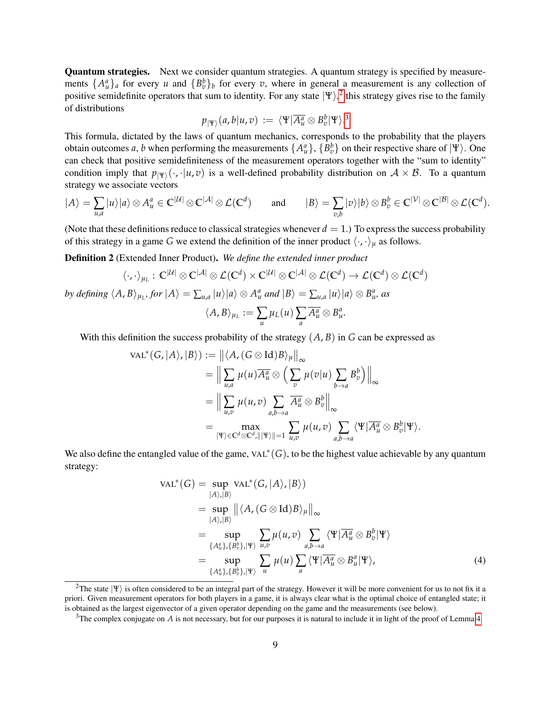Quantum strategies. Next we consider quantum strategies. A quantum strategy is specified by measurements  $\{A_u^a\}_a$  for every *u* and  $\{B_v^b\}_b$  for every *v*, where in general a measurement is any collection of positive semidefinite operators that sum to identity. For any state  $|\Psi\rangle^2$  $|\Psi\rangle^2$  this strategy gives rise to the family of distributions

$$
p_{|\Psi\rangle}(a,b|u,v) \, := \, \langle \Psi|\overline{A^a_u}\otimes B^b_v|\Psi\rangle.^3
$$

This formula, dictated by the laws of quantum mechanics, corresponds to the probability that the players obtain outcomes *a*, *b* when performing the measurements  $\{A_u^a\}$ ,  $\{B_v^b\}$  on their respective share of  $|\Psi\rangle$ . One can check that positive semidefiniteness of the measurement operators together with the "sum to identity" condition imply that  $p_{|\Psi\rangle}(\cdot, \cdot | u, v)$  is a well-defined probability distribution on  $A \times B$ . To a quantum strategy we associate vectors

$$
|A\rangle = \sum_{u,a} |u\rangle |a\rangle \otimes A_u^a \in \mathbb{C}^{|\mathcal{U}|} \otimes \mathbb{C}^{|\mathcal{A}|} \otimes \mathcal{L}(\mathbb{C}^d) \quad \text{and} \quad |B\rangle = \sum_{v,b} |v\rangle |b\rangle \otimes B_v^b \in \mathbb{C}^{|\mathcal{V}|} \otimes \mathbb{C}^{|\mathcal{B}|} \otimes \mathcal{L}(\mathbb{C}^d).
$$

(Note that these definitions reduce to classical strategies whenever  $d = 1$ .) To express the success probability of this strategy in a game *G* we extend the definition of the inner product  $\langle \cdot, \cdot \rangle_{\mu}$  as follows.

Definition 2 (Extended Inner Product). *We define the extended inner product*

$$
\langle \cdot, \cdot \rangle_{\mu_L}: \mathbb{C}^{|\mathcal{U}|} \otimes \mathbb{C}^{|\mathcal{A}|} \otimes \mathcal{L}(\mathbb{C}^d) \times \mathbb{C}^{|\mathcal{U}|} \otimes \mathbb{C}^{|\mathcal{A}|} \otimes \mathcal{L}(\mathbb{C}^d) \to \mathcal{L}(\mathbb{C}^d) \otimes \mathcal{L}(\mathbb{C}^d)
$$

by defining  $\langle A,B\rangle_{\mu_L}$ , for  $|A\rangle=\sum_{u,a}|u\rangle|a\rangle\otimes A^a_u$  and  $|B\rangle=\sum_{u,a}|u\rangle|a\rangle\otimes B^a_u$ , as

$$
\langle A, B \rangle_{\mu_L} := \sum_u \mu_L(u) \sum_a \overline{A_u^a} \otimes B_u^a.
$$

With this definition the success probability of the strategy  $(A, B)$  in  $G$  can be expressed as

$$
\mathrm{VAL}^*(G, |A\rangle, |B\rangle) := ||\langle A, (G \otimes \mathrm{Id})B\rangle_{\mu}||_{\infty}
$$
  
\n
$$
= \Big\|\sum_{u,a} \mu(u) \overline{A_u^a} \otimes \Big(\sum_v \mu(v|u) \sum_{b \to a} B_v^b\Big)\Big\|_{\infty}
$$
  
\n
$$
= \Big\|\sum_{u,v} \mu(u,v) \sum_{a,b \to a} \overline{A_u^a} \otimes B_v^b\Big\|_{\infty}
$$
  
\n
$$
= \max_{|\Psi\rangle \in \mathbb{C}^d \otimes \mathbb{C}^d, |||\Psi\rangle|| = 1} \sum_{u,v} \mu(u,v) \sum_{a,b \to a} \langle \Psi | \overline{A_u^a} \otimes B_v^b | \Psi \rangle.
$$

We also define the entangled value of the game,  $VAL^*(G)$ , to be the highest value achievable by any quantum strategy:

$$
\operatorname{VAL}^*(G) = \sup_{|A\rangle,|B\rangle} \operatorname{VAL}^*(G,|A\rangle,|B\rangle)
$$
  
\n
$$
= \sup_{|A\rangle,|B\rangle} ||\langle A, (G \otimes \operatorname{Id})B\rangle_{\mu}||_{\infty}
$$
  
\n
$$
= \sup_{\{A_u^a\},\{B_v^b\},|\Psi\rangle} \sum_{u,v} \mu(u,v) \sum_{a,b\to a} \langle \Psi | \overline{A_u^a} \otimes B_v^b | \Psi \rangle
$$
  
\n
$$
= \sup_{\{A_u^a\},\{B_v^b\},|\Psi\rangle} \sum_u \mu(u) \sum_a \langle \Psi | \overline{A_u^a} \otimes B_u^a | \Psi \rangle,
$$
  
\n(4)

<span id="page-8-0"></span><sup>&</sup>lt;sup>2</sup>The state  $|\Psi\rangle$  is often considered to be an integral part of the strategy. However it will be more convenient for us to not fix it a priori. Given measurement operators for both players in a game, it is always clear what is the optimal choice of entangled state; it is obtained as the largest eigenvector of a given operator depending on the game and the measurements (see below).

<span id="page-8-1"></span><sup>&</sup>lt;sup>3</sup>The complex conjugate on *A* is not necessary, but for our purposes it is natural to include it in light of the proof of Lemma [4.](#page-9-2)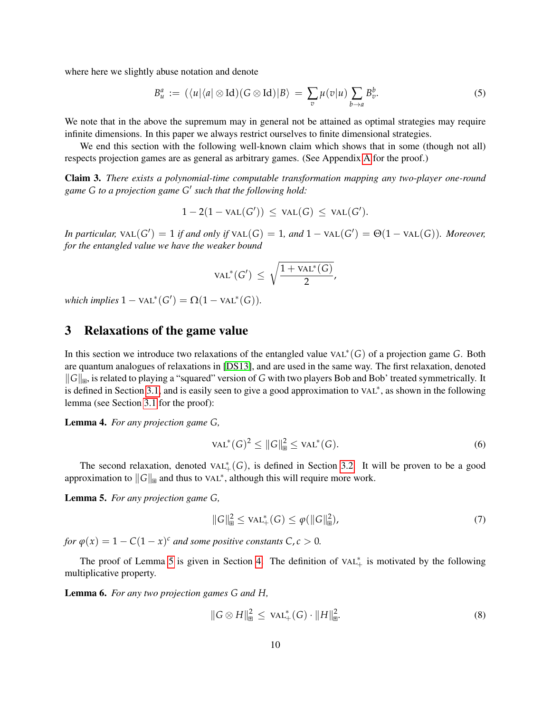where here we slightly abuse notation and denote

$$
B_u^a := (\langle u | \langle a | \otimes \mathrm{Id}) (\mathrm{G} \otimes \mathrm{Id}) | B \rangle = \sum_v \mu(v | u) \sum_{b \to a} B_v^b. \tag{5}
$$

We note that in the above the supremum may in general not be attained as optimal strategies may require infinite dimensions. In this paper we always restrict ourselves to finite dimensional strategies.

We end this section with the following well-known claim which shows that in some (though not all) respects projection games are as general as arbitrary games. (See Appendix [A](#page-25-0) for the proof.)

<span id="page-9-0"></span>Claim 3. *There exists a polynomial-time computable transformation mapping any two-player one-round game G to a projection game G* 0 *such that the following hold:*

$$
1-2(1-\text{val}(G'))\,\leq\,\text{val}(G)\,\leq\,\text{val}(G').
$$

*In particular,*  $\text{VAL}(G') = 1$  *if and only if*  $\text{VAL}(G) = 1$ *, and*  $1 - \text{VAL}(G') = \Theta(1 - \text{VAL}(G))$ *. Moreover, for the entangled value we have the weaker bound*

$$
\text{VAL}^*(G') \ \leq \ \sqrt{\frac{1 + \text{VAL}^*(G)}{2}},
$$

 $which implies 1 - VAL^*(G') = \Omega(1 - VAL^*(G)).$ 

### <span id="page-9-1"></span>3 Relaxations of the game value

In this section we introduce two relaxations of the entangled value VAL<sup>∗</sup> (*G*) of a projection game *G*. Both are quantum analogues of relaxations in [\[DS13\]](#page-27-10), and are used in the same way. The first relaxation, denoted  $||G||_{\mathbb{R}}$ , is related to playing a "squared" version of *G* with two players Bob and Bob' treated symmetrically. It is defined in Section [3.1,](#page-10-0) and is easily seen to give a good approximation to VAL<sup>∗</sup>, as shown in the following lemma (see Section [3.1](#page-10-0) for the proof):

<span id="page-9-2"></span>Lemma 4. *For any projection game G,*

<span id="page-9-6"></span>
$$
\text{VAL}^*(G)^2 \le ||G||_{\mathbb{B}}^2 \le \text{VAL}^*(G). \tag{6}
$$

The second relaxation, denoted  $VAL<sub>+</sub><sup>*</sup>(G)$ , is defined in Section [3.2.](#page-11-0) It will be proven to be a good approximation to  $||G||_{\mathbb{B}}$  and thus to VAL<sup>∗</sup>, although this will require more work.

<span id="page-9-3"></span>Lemma 5. *For any projection game G,*

<span id="page-9-7"></span>
$$
||G||_{\mathbb{B}}^{2} \leq \text{VAL}_{+}^{*}(G) \leq \varphi(||G||_{\mathbb{B}}^{2}), \tag{7}
$$

*for*  $\varphi(x) = 1 - C(1 - x)^c$  *and some positive constants*  $C, c > 0$ *.* 

The proof of Lemma [5](#page-9-3) is given in Section [4.](#page-13-0) The definition of  $VAL<sup>*</sup><sub>+</sub>$  is motivated by the following multiplicative property.

<span id="page-9-4"></span>Lemma 6. *For any two projection games G and H,*

<span id="page-9-5"></span>
$$
||G \otimes H||_{\mathbb{B}}^{2} \leq \text{VAL}_{+}^{*}(G) \cdot ||H||_{\mathbb{B}}^{2}.
$$
 (8)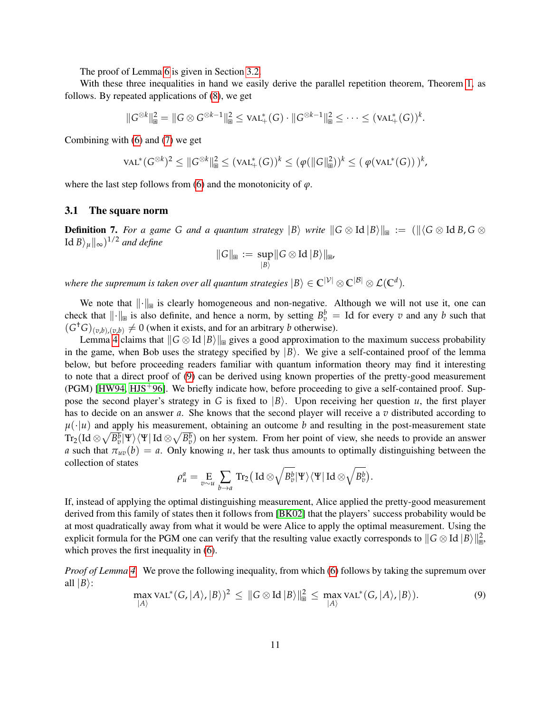The proof of Lemma [6](#page-9-4) is given in Section [3.2.](#page-11-0)

With these three inequalities in hand we easily derive the parallel repetition theorem, Theorem [1,](#page-2-0) as follows. By repeated applications of [\(8\)](#page-9-5), we get

 $||G^{\otimes k}||_{\mathbb{B}}^{2} = ||G \otimes G^{\otimes k-1}||_{\mathbb{B}}^{2} \leq \text{val}_{+}(G) \cdot ||G^{\otimes k-1}||_{\mathbb{B}}^{2} \leq \cdots \leq (\text{val}_{+}(G))^{k}.$ 

Combining with [\(6\)](#page-9-6) and [\(7\)](#page-9-7) we get

$$
\operatorname{VAL}^*(G^{\otimes k})^2 \leq \|G^{\otimes k}\|_{\mathbb{B}}^2 \leq (\operatorname{VAL}_+^*(G))^k \leq (\varphi(\|G\|_{\mathbb{B}}^2))^k \leq (\varphi(\operatorname{VAL}^*(G)))^k,
$$

where the last step follows from [\(6\)](#page-9-6) and the monotonicity of  $\varphi$ .

#### <span id="page-10-0"></span>3.1 The square norm

<span id="page-10-2"></span>**Definition 7.** For a game G and a quantum strategy  $|B\rangle$  write  $||G \otimes Id|B\rangle||_{\mathbb{R}} := (||\langle G \otimes IdB, G \otimes G \rangle||_{\mathbb{R}})$  $\lVert \mathrm{Id}\, B \rangle_{\mu} \Vert_{\infty}$ )<sup>1/2</sup> and define

$$
||G||_{\mathbb{B}} := \sup_{|B\rangle} ||G \otimes \text{Id} |B\rangle||_{\mathbb{B}},
$$

*where the supremum is taken over all quantum strategies*  $|B\rangle \in \mathbb{C}^{|\mathcal{V}|} \otimes \mathbb{C}^{|\mathcal{B}|} \otimes \mathcal{L}(\mathbb{C}^d)$ .

We note that  $\|\cdot\|_{\mathbb{R}}$  is clearly homogeneous and non-negative. Although we will not use it, one can check that  $\|\cdot\|_{\mathbb{B}}$  is also definite, and hence a norm, by setting  $B_v^b = \text{Id}$  for every *v* and any *b* such that  $(G<sup>\dagger</sup>G)_{(v,b),(v,b)} \neq 0$  (when it exists, and for an arbitrary *b* otherwise).

Lemma [4](#page-9-2) claims that  $||G \otimes Id |B\rangle||_{\mathbb{B}}$  gives a good approximation to the maximum success probability in the game, when Bob uses the strategy specified by  $|B\rangle$ . We give a self-contained proof of the lemma below, but before proceeding readers familiar with quantum information theory may find it interesting to note that a direct proof of [\(9\)](#page-10-1) can be derived using known properties of the pretty-good measurement  $(PGM)$  [\[HW94,](#page-28-12) [HJS](#page-28-13)<sup>+</sup>96]. We briefly indicate how, before proceeding to give a self-contained proof. Suppose the second player's strategy in *G* is fixed to  $|B\rangle$ . Upon receiving her question *u*, the first player has to decide on an answer *a*. She knows that the second player will receive a *v* distributed according to  $\mu(\cdot|\mu)$  and apply his measurement, obtaining an outcome *b* and resulting in the post-measurement state  $\text{Tr}_2(\text{Id}\otimes\sqrt{B_v^b}|\Psi\rangle\langle\Psi|\,\text{Id}\otimes\sqrt{B_v^b})$  on her system. From her point of view, she needs to provide an answer *a* such that  $\pi_{uv}(b) = a$ . Only knowing *u*, her task thus amounts to optimally distinguishing between the collection of states

$$
\rho^a_u = \underset{v \sim u}{\text{E}} \sum_{b \to a} \text{Tr}_2(\text{Id} \otimes \sqrt{B_v^b}|\Psi\rangle \langle \Psi| \text{Id} \otimes \sqrt{B_v^b}).
$$

If, instead of applying the optimal distinguishing measurement, Alice applied the pretty-good measurement derived from this family of states then it follows from [\[BK02\]](#page-27-16) that the players' success probability would be at most quadratically away from what it would be were Alice to apply the optimal measurement. Using the explicit formula for the PGM one can verify that the resulting value exactly corresponds to  $\|G \otimes \text{Id} \|B\rangle\|_{\mathbb{B}}^2$ , which proves the first inequality in [\(6\)](#page-9-6).

*Proof of Lemma [4.](#page-9-2)* We prove the following inequality, from which [\(6\)](#page-9-6) follows by taking the supremum over all  $|B\rangle$ :

<span id="page-10-1"></span>
$$
\max_{|A\rangle} \text{VAL}^*(G, |A\rangle, |B\rangle)^2 \leq ||G \otimes \text{Id} |B\rangle||_{\mathbb{B}}^2 \leq \max_{|A\rangle} \text{VAL}^*(G, |A\rangle, |B\rangle).
$$
 (9)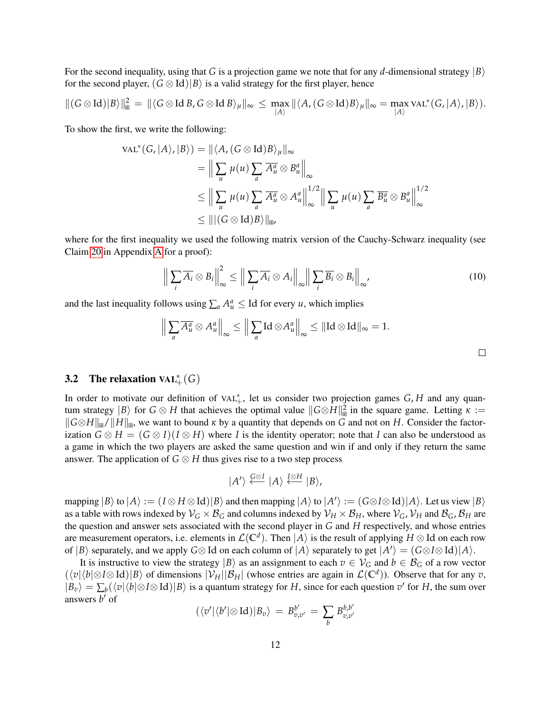For the second inequality, using that *G* is a projection game we note that for any *d*-dimensional strategy  $|B\rangle$ for the second player,  $(G \otimes Id)|B\rangle$  is a valid strategy for the first player, hence

$$
\|(G\otimes \text{Id})|B\rangle\|_{\mathbb{B}}^2 = \|\langle G\otimes \text{Id} B, G\otimes \text{Id} B\rangle_{\mu}\|_{\infty} \leq \max_{|A\rangle} \|\langle A, (G\otimes \text{Id})B\rangle_{\mu}\|_{\infty} = \max_{|A\rangle} \text{VAL}^*(G, |A\rangle, |B\rangle).
$$

To show the first, we write the following:

$$
\mathrm{VAL}^*(G, |A\rangle, |B\rangle) = ||\langle A, (G \otimes \mathrm{Id})B\rangle_{\mu}||_{\infty}
$$
  
\n
$$
= \Big\|\sum_{u} \mu(u) \sum_{a} \overline{A_u^a} \otimes B_u^a \Big\|_{\infty}
$$
  
\n
$$
\leq \Big\|\sum_{u} \mu(u) \sum_{a} \overline{A_u^a} \otimes A_u^a \Big\|_{\infty}^{1/2} \Big\|\sum_{u} \mu(u) \sum_{a} \overline{B_u^a} \otimes B_u^a \Big\|_{\infty}^{1/2}
$$
  
\n
$$
\leq ||(G \otimes \mathrm{Id})B\rangle||_{\mathbb{B}P}
$$

where for the first inequality we used the following matrix version of the Cauchy-Schwarz inequality (see Claim [20](#page-25-1) in Appendix [A](#page-25-0) for a proof):

$$
\left\| \sum_{i} \overline{A_{i}} \otimes B_{i} \right\|_{\infty}^{2} \leq \left\| \sum_{i} \overline{A_{i}} \otimes A_{i} \right\|_{\infty} \left\| \sum_{i} \overline{B_{i}} \otimes B_{i} \right\|_{\infty},
$$
\n(10)

and the last inequality follows using  $\sum_a A_a^a \leq \text{Id}$  for every *u*, which implies

$$
\Big\|\sum_a \overline{A^a_u}\otimes A^a_u\Big\|_\infty\leq \Big\|\sum_a \operatorname{Id}\otimes A^a_u\Big\|_\infty\leq \|\operatorname{Id}\otimes \operatorname{Id}\|_\infty=1.
$$

# <span id="page-11-0"></span>3.2 The relaxation  $VAL^*_{+}(G)$

In order to motivate our definition of VAL<sup>\*</sup><sub>+</sub>, let us consider two projection games *G*, *H* and any quantum strategy  $|B\rangle$  for  $G \otimes H$  that achieves the optimal value  $||G \otimes H||^2_{\mathbb{R}}$  in the square game. Letting  $\kappa :=$  $\|G \otimes H\|_{\mathbb{R}} / \|H\|_{\mathbb{R}}$ , we want to bound  $\kappa$  by a quantity that depends on *G* and not on *H*. Consider the factorization  $G \otimes H = (G \otimes I)(I \otimes H)$  where *I* is the identity operator; note that *I* can also be understood as a game in which the two players are asked the same question and win if and only if they return the same answer. The application of  $G \otimes H$  thus gives rise to a two step process

$$
|A'\rangle \stackrel{\mathcal{G}\otimes I}{\longleftarrow} |A\rangle \stackrel{I\otimes H}{\longleftarrow} |B\rangle,
$$

 $\text{mapping } |B\rangle \text{ to } |A\rangle := (I \otimes H \otimes \text{Id})|B\rangle \text{ and then mapping } |A\rangle \text{ to } |A'\rangle := (G \otimes I \otimes \text{Id})|A\rangle.$  Let us view  $|B\rangle$ as a table with rows indexed by  $V_G \times B_G$  and columns indexed by  $V_H \times B_H$ , where  $V_G$ ,  $V_H$  and  $B_G$ ,  $B_H$  are the question and answer sets associated with the second player in *G* and *H* respectively, and whose entries are measurement operators, i.e. elements in  $\mathcal{L}(\mathbb{C}^d)$ . Then  $|A\rangle$  is the result of applying  $H \otimes \mathrm{Id}$  on each row of  $|B\rangle$  separately, and we apply  $G \otimes Id$  on each column of  $|A\rangle$  separately to get  $|A'\rangle = (G \otimes I \otimes Id)|A\rangle$ .

It is instructive to view the strategy  $|B\rangle$  as an assignment to each  $v \in V_G$  and  $b \in \mathcal{B}_G$  of a row vector  $(\langle v|\langle b|\otimes I\otimes \text{Id})|B\rangle$  of dimensions  $|\mathcal{V}_H||\mathcal{B}_H|$  (whose entries are again in  $\mathcal{L}(\mathbb{C}^d)$ ). Observe that for any *v*,  $|B_v\rangle = \sum_b (\langle v | \langle b | \otimes I \otimes \text{Id} \rangle | B \rangle)$  is a quantum strategy for *H*, since for each question *v*' for *H*, the sum over answers *b*<sup>*'*</sup> of

$$
(\langle v' | \langle b' | \otimes \text{Id} \rangle | B_v \rangle = B_{v,v'}^{b'} = \sum_{b} B_{v,v'}^{b,b'}
$$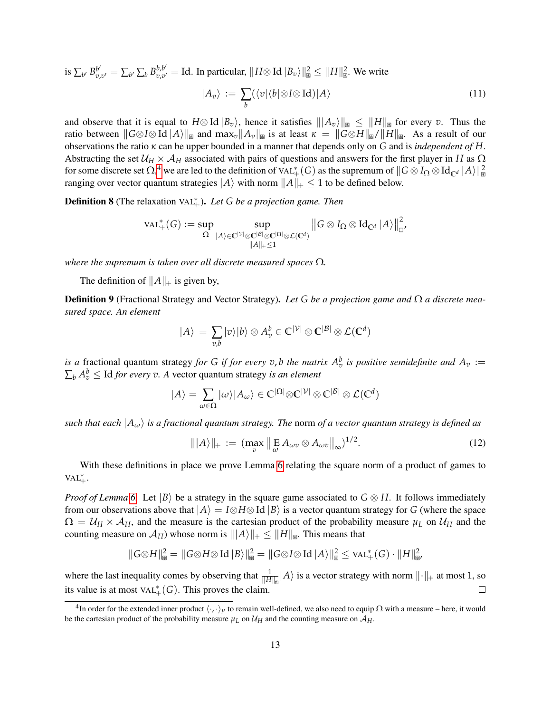is  $\sum_{b'} B^{b'}_{v}$  $\sum_{b'}^{b'} = \sum_{b'} \sum_{b} B^{b,b'}_{v,v'}$  $v_{v,v'}^{b,b'} =$  Id. In particular,  $||H \otimes$  Id  $|B_v\rangle||_{\mathbb{B}}^2 \le ||H||_{\mathbb{B}}^2$ . We write

$$
|A_v\rangle := \sum_b (\langle v|\langle b|\otimes I\otimes \mathrm{Id})|A\rangle \tag{11}
$$

and observe that it is equal to  $H \otimes \text{Id} |B_v\rangle$ , hence it satisfies  $\|A_v\rangle\|_{\mathbb{B}} \leq \|H\|_{\mathbb{B}}$  for every *v*. Thus the ratio between  $\|G \otimes I \otimes \text{Id} |A\rangle\|_{\mathbb{R}}$  and  $\max_{v} \|A_{v}\|_{\mathbb{R}}$  is at least  $\kappa = \|G \otimes H\|_{\mathbb{R}} / \|H\|_{\mathbb{R}}$ . As a result of our observations the ratio *κ* can be upper bounded in a manner that depends only on *G* and is *independent of H*. Abstracting the set  $U_H \times A_H$  associated with pairs of questions and answers for the first player in *H* as  $\Omega$ for some discrete set  $\Omega,^4$  $\Omega,^4$  we are led to the definition of VAL $_+^*(G)$  as the supremum of  $\|G\otimes I_\Omega\otimes \text{Id}_{\mathbb{C}^d}\,|A\rangle\|_\mathbb{B}^2$ ranging over vector quantum strategies  $|A\rangle$  with norm  $||A||_+ \leq 1$  to be defined below.

**Definition 8** (The relaxation VAL<sup>\*</sup><sub>†</sub>). *Let G be a projection game. Then* 

$$
\text{VAL}^*_+(G):=\sup_{\Omega}\sup_{|A\rangle\in\mathbb{C}^{|\mathcal{V}|}\otimes\mathbb{C}^{|\Omega|}\otimes\mathbb{C}^{|\Omega|}\otimes\mathcal{L}(\mathbb{C}^d)}\left\|G\otimes I_{\Omega}\otimes\text{Id}_{\mathbb{C}^d}\left|A\right\rangle\right\|_{\mathbb{C}^d}^2
$$

*where the supremum is taken over all discrete measured spaces* Ω*.*

The definition of  $||A||_+$  is given by,

<span id="page-12-0"></span>Definition 9 (Fractional Strategy and Vector Strategy). *Let G be a projection game and* Ω *a discrete measured space. An element*

$$
|A\rangle = \sum_{v,b} |v\rangle |b\rangle \otimes A_v^b \in \mathbb{C}^{|\mathcal{V}|} \otimes \mathbb{C}^{|\mathcal{B}|} \otimes \mathcal{L}(\mathbb{C}^d)
$$

*is a* fractional quantum strategy *for G if for every v*, *b the matrix*  $A_v^b$  *is positive semidefinite and*  $A_v :=$  $\sum_b A_v^b \leq$  Id *for every v.* A vector quantum strategy *is an element* 

$$
|A\rangle = \sum_{\omega \in \Omega} |\omega\rangle |A_{\omega}\rangle \in \mathbb{C}^{|\Omega|} \otimes \mathbb{C}^{|\mathcal{V}|} \otimes \mathbb{C}^{|\mathcal{B}|} \otimes \mathcal{L}(\mathbb{C}^{d})
$$

*such that each*  $|A_\omega\rangle$  *is a fractional quantum strategy. The norm of a vector quantum strategy is defined as* 

$$
|||A\rangle||_{+} := (\max_{v} \left\| \mathop{\mathbb{E}}_{\omega} A_{\omega v} \otimes A_{\omega v} \right\|_{\infty})^{1/2}.
$$
 (12)

With these definitions in place we prove Lemma [6](#page-9-4) relating the square norm of a product of games to  $VAL^{*}_{+}$ .

*Proof of Lemma* [6.](#page-9-4) Let  $|B\rangle$  be a strategy in the square game associated to  $G \otimes H$ . It follows immediately from our observations above that  $|A\rangle = I \otimes H \otimes Id |B\rangle$  is a vector quantum strategy for *G* (where the space  $\Omega = U_H \times A_H$ , and the measure is the cartesian product of the probability measure  $\mu_L$  on  $U_H$  and the counting measure on  $\mathcal{A}_H$ ) whose norm is  $\|A\rangle\|_+\leq \|H\|_{\mathbb{R}}$ . This means that

$$
||G \otimes H||_{\mathbb{B}}^{2} = ||G \otimes H \otimes \text{Id} |B\rangle||_{\mathbb{B}}^{2} = ||G \otimes I \otimes \text{Id} |A\rangle||_{\mathbb{B}}^{2} \leq \text{VAL}_{+}^{*}(G) \cdot ||H||_{\mathbb{B}'}^{2}
$$

where the last inequality comes by observing that  $\frac{1}{\|H\|_{\mathbb{B}}}\|A\rangle$  is a vector strategy with norm  $\|\cdot\|_+$  at most 1, so its value is at most  $\text{VAL}^*_+(G)$ . This proves the claim.  $\Box$ 

<span id="page-12-1"></span><sup>&</sup>lt;sup>4</sup>In order for the extended inner product  $\langle \cdot, \cdot \rangle_{\mu}$  to remain well-defined, we also need to equip  $\Omega$  with a measure – here, it would be the cartesian product of the probability measure  $\mu_L$  on  $\mathcal{U}_H$  and the counting measure on  $\mathcal{A}_H$ .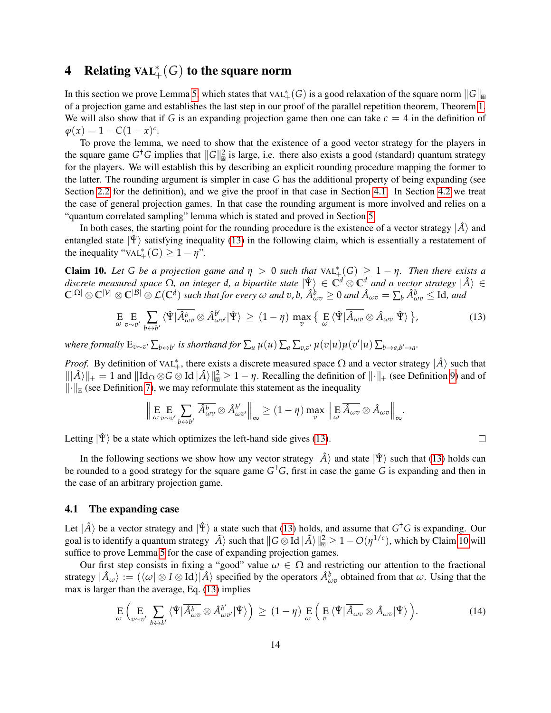# <span id="page-13-0"></span>**4** Relating  $\text{VAL}^*_+(G)$  to the square norm

In this section we prove Lemma [5,](#page-9-3) which states that VAL $^*_+(G)$  is a good relaxation of the square norm  $\|G\|_{\boxplus}$ of a projection game and establishes the last step in our proof of the parallel repetition theorem, Theorem [1.](#page-2-0) We will also show that if *G* is an expanding projection game then one can take  $c = 4$  in the definition of  $\varphi(x) = 1 - C(1 - x)^c$ .

To prove the lemma, we need to show that the existence of a good vector strategy for the players in the square game  $G^{\dagger}G$  implies that  $||G||_{\mathbb{B}}^2$  is large, i.e. there also exists a good (standard) quantum strategy for the players. We will establish this by describing an explicit rounding procedure mapping the former to the latter. The rounding argument is simpler in case *G* has the additional property of being expanding (see Section [2.2](#page-6-0) for the definition), and we give the proof in that case in Section [4.1.](#page-13-1) In Section [4.2](#page-19-0) we treat the case of general projection games. In that case the rounding argument is more involved and relies on a "quantum correlated sampling" lemma which is stated and proved in Section [5.](#page-21-0)

In both cases, the starting point for the rounding procedure is the existence of a vector strategy  $|\hat{A}\rangle$  and entangled state  $|\Psi\rangle$  satisfying inequality [\(13\)](#page-13-2) in the following claim, which is essentially a restatement of the inequality " $VAL<sub>+</sub><sup>*</sup>(G) \ge 1 - \eta$ ".

<span id="page-13-3"></span>**Claim 10.** Let G be a projection game and  $\eta > 0$  such that  $\text{VAL}_{+}^{*}(G) \geq 1 - \eta$ . Then there exists a *discrete measured space*  $\Omega$ *, an integer d, a bipartite state*  $|\hat{\Psi}\rangle \in C^d \otimes C^d$  *and a vector strategy*  $|\hat{A}\rangle \in$  $\mathbb{C}^{|\Omega|}\otimes \mathbb{C}^{|\mathcal{V}|}\otimes \mathbb{C}^{|\mathcal{B}|}\otimes \mathcal{L}(\mathbb{C}^d)$  such that for every  $\omega$  and  $v$ ,  $b$ ,  $\hat{A}_{\omega v}^b\geq 0$  and  $\hat{A}_{\omega v}=\sum_b \hat{A}_{\omega v}^b\leq \mathrm{Id}$ , and

<span id="page-13-2"></span>
$$
\underset{\omega}{\mathrm{E}} \underset{v \sim v'}{\mathrm{E}} \sum_{b \leftrightarrow b'} \langle \hat{\Psi} | \overline{\hat{A}_{\omega v}^{b}} \otimes \hat{A}_{\omega v'}^{b'} | \hat{\Psi} \rangle \ge (1 - \eta) \max_{v} \left\{ \underset{\omega}{\mathrm{E}} \langle \hat{\Psi} | \overline{\hat{A}_{\omega v}} \otimes \hat{A}_{\omega v} | \hat{\Psi} \rangle \right\},\tag{13}
$$

 $\Box$ 

where formally  $E_{v\sim v'}\sum_{b\leftrightarrow b'}$  is shorthand for  $\sum_u \mu(u)\sum_a \sum_{v,v'} \mu(v|u)\mu(v'|u)\sum_{b\to a,b'\to a'}$ .

*Proof.* By definition of VAL<sup>\*</sup><sub>+</sub>, there exists a discrete measured space  $\Omega$  and a vector strategy  $|\hat{A}\rangle$  such that  $\|\hat{A}\rangle\|_+ = 1$  and  $\|\text{Id}_{\Omega} \otimes G \otimes \text{Id} \otimes \hat{A}\rangle\|_{\mathbb{B}}^2 \geq 1 - \eta$ . Recalling the definition of  $\|\cdot\|_+$  (see Definition [9\)](#page-12-0) and of  $\|\cdot\|_{\mathbb{R}}$  (see Definition [7\)](#page-10-2), we may reformulate this statement as the inequality

$$
\left\| \mathop{\mathbb{E}}_{\omega} \mathop{\mathbb{E}}_{v \sim v'} \sum_{b \leftrightarrow b'} \overline{\hat{A}_{\omega v}^b} \otimes \hat{A}_{\omega v'}^{b'} \right\|_{\infty} \ge (1 - \eta) \max_{v} \left\| \mathop{\mathbb{E}}_{\omega} \overline{\hat{A}_{\omega v}} \otimes \hat{A}_{\omega v} \right\|_{\infty}.
$$

Letting  $|\hat{\Psi}\rangle$  be a state which optimizes the left-hand side gives [\(13\)](#page-13-2).

In the following sections we show how any vector strategy  $|\hat{A}\rangle$  and state  $|\hat{\Psi}\rangle$  such that [\(13\)](#page-13-2) holds can be rounded to a good strategy for the square game *G* †*G*, first in case the game *G* is expanding and then in the case of an arbitrary projection game.

### <span id="page-13-1"></span>4.1 The expanding case

Let  $|\hat{A}\rangle$  be a vector strategy and  $|\hat{\Psi}\rangle$  a state such that [\(13\)](#page-13-2) holds, and assume that  $G^{\dagger}G$  is expanding. Our goal is to identify a quantum strategy  $|\tilde{A}\rangle$  such that  $\|G\otimes \mathrm{Id} \, |\tilde{A}\rangle\|_\mathbb{B}^2 \geq 1 - O(\eta^{1/c})$ , which by Claim [10](#page-13-3) will suffice to prove Lemma [5](#page-9-3) for the case of expanding projection games.

Our first step consists in fixing a "good" value  $\omega \in \Omega$  and restricting our attention to the fractional strategy  $|\hat{A}_\omega\rangle := (\langle \omega | \otimes I \otimes \text{Id}) | \hat{A} \rangle$  specified by the operators  $\hat{A}^b_{\omega v}$  obtained from that  $\omega$ . Using that the max is larger than the average, Eq. [\(13\)](#page-13-2) implies

<span id="page-13-4"></span>
$$
\mathop{\mathbf{E}}_{\omega} \left( \mathop{\mathbf{E}}_{v \sim v'} \sum_{b \leftrightarrow b'} \langle \hat{\Psi} | \overline{\hat{A}_{\omega v}^{b}} \otimes \hat{A}_{\omega v'}^{b'} | \hat{\Psi} \rangle \right) \ge (1 - \eta) \mathop{\mathbf{E}}_{\omega} \left( \mathop{\mathbf{E}}_{v} \langle \hat{\Psi} | \overline{\hat{A}_{\omega v}} \otimes \hat{A}_{\omega v} | \hat{\Psi} \rangle \right).
$$
 (14)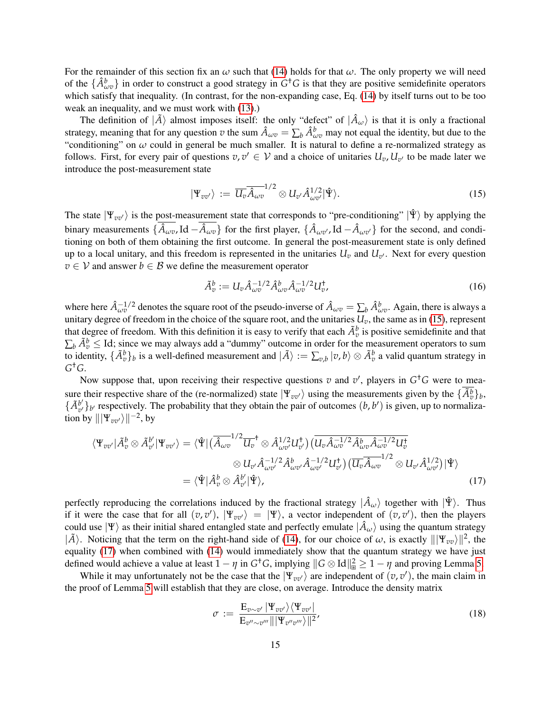For the remainder of this section fix an  $\omega$  such that [\(14\)](#page-13-4) holds for that  $\omega$ . The only property we will need of the  $\{\hat{A}^b_{\omega v}\}\$  in order to construct a good strategy in  $G^{\dagger}G$  is that they are positive semidefinite operators which satisfy that inequality. (In contrast, for the non-expanding case, Eq. [\(14\)](#page-13-4) by itself turns out to be too weak an inequality, and we must work with [\(13\)](#page-13-2).)

The definition of  $|\tilde{A}\rangle$  almost imposes itself: the only "defect" of  $|\hat{A}_\omega\rangle$  is that it is only a fractional strategy, meaning that for any question *v* the sum  $\hat{A}_{\omega v} = \sum_b \hat{A}_{\omega v}^b$  may not equal the identity, but due to the "conditioning" on  $\omega$  could in general be much smaller. It is natural to define a re-normalized strategy as follows. First, for every pair of questions  $v, v' \in V$  and a choice of unitaries  $U_v, U_{v'}$  to be made later we introduce the post-measurement state

<span id="page-14-0"></span>
$$
|\Psi_{vv'}\rangle := \overline{U_v} \overline{\hat{A}_{\omega v}}^{1/2} \otimes U_{v'} \hat{A}_{\omega v'}^{1/2} |\hat{\Psi}\rangle.
$$
 (15)

The state  $|\Psi_{vv'}\rangle$  is the post-measurement state that corresponds to "pre-conditioning"  $|\hat{\Psi}\rangle$  by applying the binary measurements  $\{\hat{A}_{\omega v}$ , Id  $-\hat{A}_{\omega v}\}$  for the first player,  $\{\hat{A}_{\omega v'}$ , Id  $-\hat{A}_{\omega v'}\}$  for the second, and conditioning on both of them obtaining the first outcome. In general the post-measurement state is only defined up to a local unitary, and this freedom is represented in the unitaries  $U_v$  and  $U_{v'}$ . Next for every question  $v \in V$  and answer  $b \in B$  we define the measurement operator

<span id="page-14-3"></span>
$$
\tilde{A}_v^b := U_v \hat{A}_{\omega v}^{-1/2} \hat{A}_{\omega v}^b \hat{A}_{\omega v}^{-1/2} U_v^{\dagger}, \tag{16}
$$

where here  $\hat{A}_{\omega v}^{-1/2}$  denotes the square root of the pseudo-inverse of  $\hat{A}_{\omega v} = \sum_b \hat{A}_{\omega v}^b$ . Again, there is always a unitary degree of freedom in the choice of the square root, and the unitaries  $U_v$ , the same as in [\(15\)](#page-14-0), represent that degree of freedom. With this definition it is easy to verify that each  $\tilde{A}^b_v$  is positive semidefinite and that  $\sum_b \tilde{A}_v^b \leq$  Id; since we may always add a "dummy" outcome in order for the measurement operators to sum to identity,  $\{\tilde{A}^b_v\}_b$  is a well-defined measurement and  $|\tilde{A}\rangle := \sum_{v,b}|v,b\rangle \otimes \tilde{A}^b_v$  a valid quantum strategy in *G* †*G*.

Now suppose that, upon receiving their respective questions  $v$  and  $v'$ , players in  $G<sup>†</sup>G$  were to measure their respective share of the (re-normalized) state  $|\Psi_{vv'}\rangle$  using the measurements given by the  $\{\tilde{A}_v^b\}_b$ ,  $\{\tilde{A}^{b'}_{n'}\}$  $\left\{b'_{v}\right\}_{b'}$  respectively. The probability that they obtain the pair of outcomes  $(b, b')$  is given, up to normalization by  $\|\Psi_{vv'}\rangle\|^{-2}$ , by

$$
\langle \Psi_{vv'} | \tilde{A}_v^b \otimes \tilde{A}_{v'}^{b'} | \Psi_{vv'} \rangle = \langle \hat{\Psi} | (\overline{\hat{A}_{\omega v}}^{1/2} \overline{U_v}^{\dagger} \otimes \hat{A}_{\omega v'}^{1/2} U_{v'}^{\dagger}) (\overline{U_v \hat{A}_{\omega v}^{-1/2} \hat{A}_{\omega v}^b \hat{A}_{\omega v}^{-1/2} U_v^{\dagger} )
$$
  

$$
\otimes U_{v'} \hat{A}_{\omega v'}^{-1/2} \hat{A}_{\omega v'}^b \hat{A}_{\omega v'}^{-1/2} U_{v'}^{\dagger}) (\overline{U_v \hat{A}_{\omega v}}^{1/2} \otimes U_{v'} \hat{A}_{\omega v'}^{1/2}) | \hat{\Psi} \rangle
$$
  

$$
= \langle \hat{\Psi} | \hat{A}_v^b \otimes \hat{A}_{v'}^{b'} | \hat{\Psi} \rangle, \tag{17}
$$

perfectly reproducing the correlations induced by the fractional strategy  $|\hat{A}_{\omega}\rangle$  together with  $|\hat{\Psi}\rangle$ . Thus if it were the case that for all  $(v, v')$ ,  $|\Psi_{vv'}\rangle = |\Psi\rangle$ , a vector independent of  $(v, v')$ , then the players could use  $|\Psi\rangle$  as their initial shared entangled state and perfectly emulate  $|\hat{A}_\omega\rangle$  using the quantum strategy  $|\tilde{A}\rangle$ . Noticing that the term on the right-hand side of [\(14\)](#page-13-4), for our choice of  $\omega$ , is exactly  $\|\Psi_{vv}\rangle\|^2$ , the equality [\(17\)](#page-14-1) when combined with [\(14\)](#page-13-4) would immediately show that the quantum strategy we have just defined would achieve a value at least  $1 - \eta$  in  $G^{\dagger}G$ , implying  $||G \otimes Id||_{\mathbb{B}}^2 \geq 1 - \eta$  and proving Lemma [5.](#page-9-3)

While it may unfortunately not be the case that the  $|\Psi_{vv'}\rangle$  are independent of  $(v, v')$ , the main claim in the proof of Lemma [5](#page-9-3) will establish that they are close, on average. Introduce the density matrix

<span id="page-14-2"></span><span id="page-14-1"></span>
$$
\sigma := \frac{\mathrm{E}_{v \sim v'} |\Psi_{vv'}\rangle \langle \Psi_{vv'}|}{\mathrm{E}_{v'' \sim v'''} ||\Psi_{v''v'''}||^2},\tag{18}
$$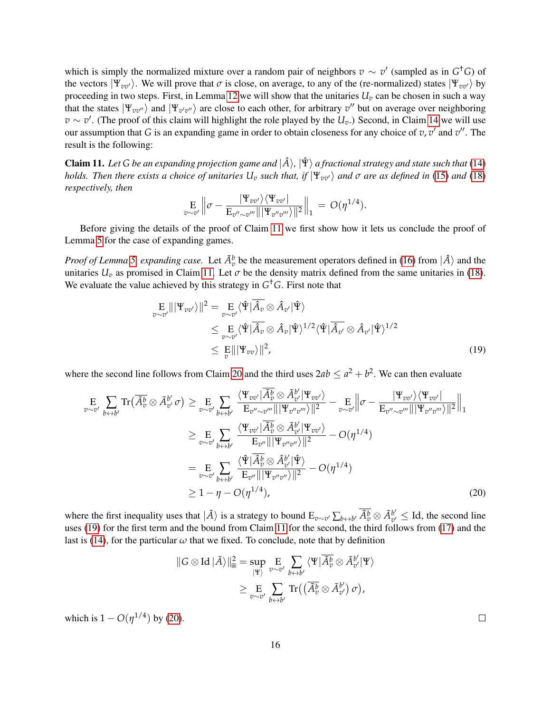which is simply the normalized mixture over a random pair of neighbors  $v \sim v'$  (sampled as in  $G^{\dagger}G$ ) of the vectors  $|\Psi_{vv'}\rangle$ . We will prove that  $\sigma$  is close, on average, to any of the (re-normalized) states  $|\Psi_{vv'}\rangle$  by proceeding in two steps. First, in Lemma [12](#page-16-0) we will show that the unitaries  $U_v$  can be chosen in such a way that the states  $|\Psi_{vv'}\rangle$  and  $|\Psi_{v'v''}\rangle$  are close to each other, for arbitrary  $v''$  but on average over neighboring  $v \sim v'$ . (The proof of this claim will highlight the role played by the *U<sub>v</sub>*.) Second, in Claim [14](#page-17-0) we will use our assumption that *G* is an expanding game in order to obtain closeness for any choice of  $v, v'$  and  $v''$ . The result is the following:

<span id="page-15-0"></span>**Claim 11.** Let G be an expanding projection game and  $|\hat{A}\rangle$ ,  $|\hat{\Psi}\rangle$  a fractional strategy and state such that [\(14\)](#page-13-4) *holds. Then there exists a choice of unitaries*  $U_v$  *such that, if*  $|\Psi_{vv'}\rangle$  *and*  $\sigma$  *are as defined in* [\(15\)](#page-14-0) *and* [\(18\)](#page-14-2) *respectively, then*

$$
\mathop{\mathbb{E}}_{v \sim v'} \left\| \sigma - \frac{|\Psi_{vv'}\rangle \langle \Psi_{vv'}|}{\mathop{\mathbb{E}}_{v'' \sim v'''} |||\Psi_{v''v'''}\rangle ||^2} \right\|_1 = O(\eta^{1/4}).
$$

Before giving the details of the proof of Claim [11](#page-15-0) we first show how it lets us conclude the proof of Lemma [5](#page-9-3) for the case of expanding games.

*Proof of Lemma [5,](#page-9-3) expanding case.* Let  $\tilde{A}^b_v$  be the measurement operators defined in [\(16\)](#page-14-3) from  $|\hat{A}\rangle$  and the unitaries  $U_v$  as promised in Claim [11.](#page-15-0) Let  $\sigma$  be the density matrix defined from the same unitaries in [\(18\)](#page-14-2). We evaluate the value achieved by this strategy in *G* †*G*. First note that

$$
\mathop{\mathbf{E}}\limits_{v \sim v'} |||\Psi_{vv'}\rangle||^2 = \mathop{\mathbf{E}}\limits_{v \sim v'} \langle \hat{\Psi} | \overline{\hat{A}_v} \otimes \hat{A}_{v'} | \hat{\Psi} \rangle
$$
\n
$$
\leq \mathop{\mathbf{E}}\limits_{v \sim v'} \langle \hat{\Psi} | \overline{\hat{A}_v} \otimes \hat{A}_v | \hat{\Psi} \rangle^{1/2} \langle \hat{\Psi} | \overline{\hat{A}_{v'}} \otimes \hat{A}_{v'} | \hat{\Psi} \rangle^{1/2}
$$
\n
$$
\leq \mathop{\mathbf{E}}\limits_{v} |||\Psi_{vv}\rangle ||^2, \tag{19}
$$

where the second line follows from Claim [20](#page-25-1) and the third uses  $2ab \le a^2 + b^2$ . We can then evaluate

$$
\mathbb{E}\sum_{v \sim v'} \text{Tr}\big(\overline{A}_{v}^{\overline{b}} \otimes \tilde{A}_{v'}^{b'} \sigma\big) \geq \mathbb{E}\sum_{v \sim v'} \frac{\langle \Psi_{vv'} | \overline{A}_{v}^{\overline{b}} \otimes \tilde{A}_{v'}^{b'} | \Psi_{vv'} \rangle}{\mathbb{E}_{v'' \sim v'''} |||\Psi_{v''v''} \rangle ||^{2}} - \mathbb{E}\left\| \sigma - \frac{|\Psi_{vv'} \rangle \langle \Psi_{vv'} |}{\mathbb{E}_{v'' \sim v'''} |||\Psi_{v''v''} \rangle ||^{2}} \right\|_{1}
$$
\n
$$
\geq \mathbb{E}\sum_{v \sim v'} \frac{\langle \Psi_{vv'} | \overline{A}_{v}^{\overline{b}} \otimes \tilde{A}_{v'}^{b'} | \Psi_{vv'} \rangle}{\mathbb{E}_{v''} |||\Psi_{v''v''} \rangle ||^{2}} - O(\eta^{1/4})
$$
\n
$$
= \mathbb{E}\sum_{v \sim v'} \frac{\langle \hat{\Psi} | \overline{A}_{v}^{\overline{b}} \otimes \hat{A}_{v'}^{b'} | \hat{\Psi} \rangle}{\mathbb{E}_{v''} |||\Psi_{v''v''} \rangle ||^{2}} - O(\eta^{1/4})
$$
\n
$$
\geq 1 - \eta - O(\eta^{1/4}), \tag{20}
$$

where the first inequality uses that  $|\tilde{A}\rangle$  is a strategy to bound  $E_{v\sim v'}\sum_{b\leftrightarrow b'}\overline{\tilde{A}_v^b}\otimes \tilde{A}_{v'}^{b'}$  $v'_{v'} \leq$  Id, the second line uses [\(19\)](#page-15-1) for the first term and the bound from Claim [11](#page-15-0) for the second, the third follows from [\(17\)](#page-14-1) and the last is [\(14\)](#page-13-4), for the particular  $\omega$  that we fixed. To conclude, note that by definition

$$
\begin{aligned} \|G \otimes \operatorname{Id} |\tilde{A}\rangle\|_\mathbb{B}^2 &= \sup_{|\Psi\rangle} \underset{v \sim v'}{\operatorname{E}} \underset{b \leftrightarrow b'}{\sum} \langle \Psi | \overline{\tilde{A}^b_v} \otimes \tilde{A}^{b'}_{v'} | \Psi \rangle \\ &\geq \underset{v \sim v'}{\operatorname{E}} \underset{b \leftrightarrow b'}{\sum} \operatorname{Tr} \big( \big( \overline{\tilde{A}^b_v} \otimes \tilde{A}^{b'}_{v'} \big) \sigma \big), \end{aligned}
$$

which is  $1 - O(\eta^{1/4})$  by [\(20\)](#page-15-2).

<span id="page-15-2"></span><span id="page-15-1"></span>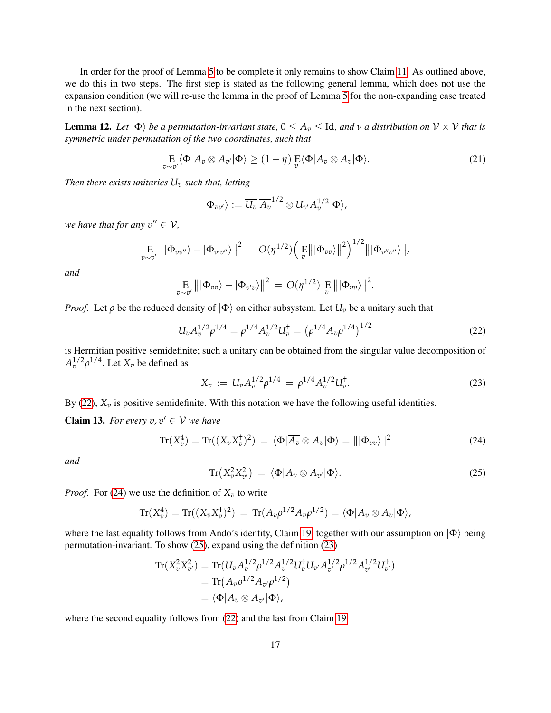In order for the proof of Lemma [5](#page-9-3) to be complete it only remains to show Claim [11.](#page-15-0) As outlined above, we do this in two steps. The first step is stated as the following general lemma, which does not use the expansion condition (we will re-use the lemma in the proof of Lemma [5](#page-9-3) for the non-expanding case treated in the next section).

<span id="page-16-0"></span>**Lemma 12.** Let  $|\Phi\rangle$  be a permutation-invariant state,  $0 \le A_v \le$  Id, and  $v$  a distribution on  $V \times V$  that is *symmetric under permutation of the two coordinates, such that*

<span id="page-16-5"></span>
$$
\underset{v \sim v'}{\mathbf{E}} \langle \Phi | \overline{A_v} \otimes A_{v'} | \Phi \rangle \ge (1 - \eta) \underset{v}{\mathbf{E}} \langle \Phi | \overline{A_v} \otimes A_v | \Phi \rangle. \tag{21}
$$

*Then there exists unitaries U<sup>v</sup> such that, letting*

$$
|\Phi_{vv'}\rangle := \overline{U_v} \, \overline{A_v}^{1/2} \otimes U_{v'} A_v^{1/2} |\Phi\rangle,
$$

*we have that for any*  $v'' \in V$ ,

$$
\underset{v\sim v'}{\mathrm{E}}\left\|\left|\Phi_{vv''}\right\rangle-\left|\Phi_{v'v''}\right\rangle\right\|^2\,=\,O(\eta^{1/2})\Big(\underset{v}{\mathrm{E}}\big\|\left|\Phi_{vv}\right\rangle\big\|^2\Big)^{1/2}\big\|\left|\Phi_{v''v''}\right\rangle\big\|,
$$

*and*

$$
\underset{v \sim v'}{\mathbb{E}} |||\Phi_{vv}\rangle - |\Phi_{v'v}\rangle||^2 = O(\eta^{1/2}) \underset{v}{\mathbb{E}} |||\Phi_{vv}\rangle||^2.
$$

*Proof.* Let  $\rho$  be the reduced density of  $|\Phi\rangle$  on either subsystem. Let  $U_v$  be a unitary such that

<span id="page-16-1"></span>
$$
U_v A_v^{1/2} \rho^{1/4} = \rho^{1/4} A_v^{1/2} U_v^{\dagger} = (\rho^{1/4} A_v \rho^{1/4})^{1/2}
$$
 (22)

is Hermitian positive semidefinite; such a unitary can be obtained from the singular value decomposition of  $A_v^{1/2} \rho^{1/4}$ . Let  $X_v$  be defined as

<span id="page-16-4"></span>
$$
X_v := U_v A_v^{1/2} \rho^{1/4} = \rho^{1/4} A_v^{1/2} U_v^{\dagger}.
$$
\n(23)

By [\(22\)](#page-16-1),  $X_v$  is positive semidefinite. With this notation we have the following useful identities.

**Claim 13.** For every  $v, v' \in V$  we have

<span id="page-16-2"></span>
$$
\operatorname{Tr}(X_v^4) = \operatorname{Tr}((X_v X_v^{\dagger})^2) = \langle \Phi | \overline{A_v} \otimes A_v | \Phi \rangle = ||| \Phi_{vv} \rangle ||^2 \tag{24}
$$

*and*

<span id="page-16-3"></span>
$$
\operatorname{Tr}\left(X_{v}^{2}X_{v'}^{2}\right) = \langle \Phi | \overline{A_{v}} \otimes A_{v'} | \Phi \rangle. \tag{25}
$$

*Proof.* For [\(24\)](#page-16-2) we use the definition of  $X_v$  to write

$$
\operatorname{Tr}(X_v^4) = \operatorname{Tr}((X_v X_v^{\dagger})^2) = \operatorname{Tr}(A_v \rho^{1/2} A_v \rho^{1/2}) = \langle \Phi | \overline{A_v} \otimes A_v | \Phi \rangle,
$$

where the last equality follows from Ando's identity, Claim [19,](#page-25-2) together with our assumption on  $|\Phi\rangle$  being permutation-invariant. To show [\(25\)](#page-16-3), expand using the definition [\(23\)](#page-16-4)

$$
Tr(X_{\nu}^{2}X_{\nu'}^{2}) = Tr(U_{\nu}A_{\nu}^{1/2}\rho^{1/2}A_{\nu'}^{1/2}U_{\nu'}^{\dagger}U_{\nu'}A_{\nu'}^{1/2}\rho^{1/2}A_{\nu'}^{1/2}U_{\nu'}^{\dagger})
$$
  
= Tr(A\_{\nu}\rho^{1/2}A\_{\nu'}\rho^{1/2})  
= \langle \Phi | \overline{A}\_{\nu} \otimes A\_{\nu'} | \Phi \rangle,

where the second equality follows from [\(22\)](#page-16-1) and the last from Claim [19.](#page-25-2)

 $\Box$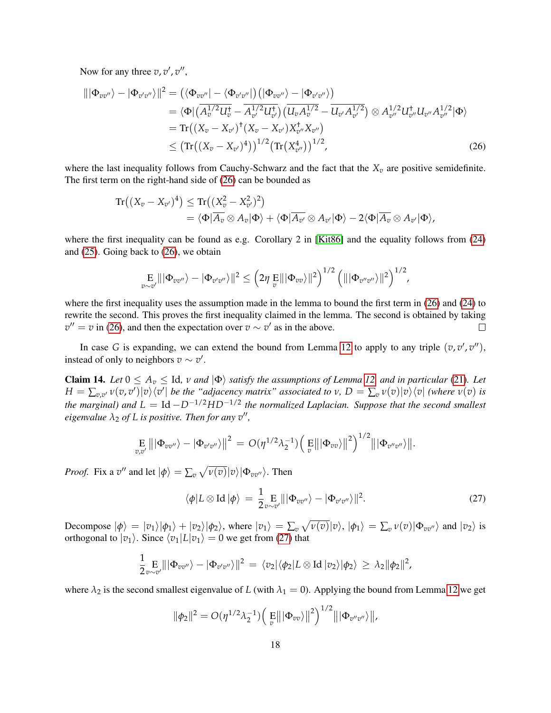Now for any three  $v, v', v'',$ 

$$
\|\Phi_{vv''}\rangle - |\Phi_{v'v''}\rangle\|^2 = (\langle \Phi_{vv''}| - \langle \Phi_{v'v''}|) (|\Phi_{vv''}\rangle - |\Phi_{v'v''}\rangle)
$$
  
\n
$$
= \langle \Phi | (\overline{A_v^{1/2}U_v^+} - \overline{A_{v'}^{1/2}U_{v'}^+}) (\overline{U_v A_v^{1/2}} - \overline{U_{v'} A_{v'}^{1/2}}) \otimes A_{v''}^{1/2} U_{v''}^+ U_{v''} A_{v''}^{1/2} |\Phi\rangle
$$
  
\n
$$
= \text{Tr}((X_v - X_{v'})^+(X_v - X_{v'}) X_{v''}^+ X_{v''})
$$
  
\n
$$
\leq (\text{Tr}((X_v - X_{v'})^4))^{1/2} (\text{Tr}(X_{v''}^4))^{1/2},
$$
\n(26)

where the last inequality follows from Cauchy-Schwarz and the fact that the  $X_v$  are positive semidefinite. The first term on the right-hand side of [\(26\)](#page-17-1) can be bounded as

$$
\mathrm{Tr}((X_v - X_{v'})^4) \leq \mathrm{Tr}((X_v^2 - X_{v'}^2)^2)
$$
  
=  $\langle \Phi | \overline{A_v} \otimes A_v | \Phi \rangle + \langle \Phi | \overline{A_{v'}} \otimes A_{v'} | \Phi \rangle - 2 \langle \Phi | \overline{A_v} \otimes A_{v'} | \Phi \rangle$ ,

where the first inequality can be found as e.g. Corollary 2 in [\[Kit86\]](#page-28-15) and the equality follows from [\(24\)](#page-16-2) and [\(25\)](#page-16-3). Going back to [\(26\)](#page-17-1), we obtain

<span id="page-17-1"></span>
$$
\mathop{\mathbb{E}}_{v \sim v'} \| |\Phi_{vv''}\rangle - |\Phi_{v'v''}\rangle \|^2 \leq \left(2\eta \mathop{\mathbb{E}}_{v} \| |\Phi_{vv}\rangle \|^2\right)^{1/2} \left( \| |\Phi_{v''v''}\rangle \|^2\right)^{1/2},
$$

where the first inequality uses the assumption made in the lemma to bound the first term in [\(26\)](#page-17-1) and [\(24\)](#page-16-2) to rewrite the second. This proves the first inequality claimed in the lemma. The second is obtained by taking  $v'' = v$  in [\(26\)](#page-17-1), and then the expectation over  $v \sim v'$  as in the above.  $\Box$ 

In case *G* is expanding, we can extend the bound from Lemma [12](#page-16-0) to apply to any triple  $(v, v', v'')$ , instead of only to neighbors  $v \sim v'$ .

<span id="page-17-0"></span>**Claim 14.** *Let*  $0 \le A_v \le$  Id,  $v$  *and*  $|\Phi\rangle$  *satisfy the assumptions of Lemma [12,](#page-16-0) and in particular* [\(21\)](#page-16-5)*. Let*  $H=\sum_{v,v'}v(v,v')|v\rangle\langle v'|\$  be the "adjacency matrix" associated to  $v, D=\sum_{v}v(v)|v\rangle\langle v|$  (where  $v(v)$  is *the marginal) and*  $L = Id - D^{-1/2} H D^{-1/2}$  *the normalized Laplacian. Suppose that the second smallest eigenvalue*  $\lambda_2$  *of L is positive. Then for any*  $v''$ ,

$$
\mathop{\mathbb{E}}_{v,v'} |||\Phi_{vv''}\rangle - |\Phi_{v'v''}\rangle ||^2 = O(\eta^{1/2}\lambda_2^{-1}) \Big(\mathop{\mathbb{E}}_{v} |||\Phi_{vv}\rangle ||^2\Big)^{1/2} |||\Phi_{v''v''}\rangle ||.
$$

*Proof.* Fix a  $v''$  and let  $|\phi\rangle = \sum_{v} \sqrt{v(v)} |v\rangle |\Phi_{vv''}\rangle$ . Then

<span id="page-17-2"></span>
$$
\langle \phi | L \otimes \text{Id} | \phi \rangle = \frac{1}{2} \mathop{\mathbb{E}}_{v \sim v'} || | \Phi_{v v''} \rangle - | \Phi_{v' v''} \rangle ||^2. \tag{27}
$$

Decompose  $|\phi\rangle = |v_1\rangle|\phi_1\rangle + |v_2\rangle|\phi_2\rangle$ , where  $|v_1\rangle = \sum_v \sqrt{v(v)}|v\rangle$ ,  $|\phi_1\rangle = \sum_v v(v)|\Phi_{vv'}\rangle$  and  $|v_2\rangle$  is orthogonal to  $|v_1\rangle$ . Since  $\langle v_1|L|v_1\rangle = 0$  we get from [\(27\)](#page-17-2) that

$$
\frac{1}{2} \underset{v \sim v'}{\mathbb{E}} |||\Phi_{vv''}\rangle - |\Phi_{v'v''}\rangle||^2 = \langle v_2|\langle \phi_2|L \otimes \text{Id} |v_2\rangle|\phi_2\rangle \geq \lambda_2 ||\phi_2||^2,
$$

where  $\lambda_2$  is the second smallest eigenvalue of *L* (with  $\lambda_1 = 0$ ). Applying the bound from Lemma [12](#page-16-0) we get

$$
\|\phi_2\|^2 = O(\eta^{1/2}\lambda_2^{-1}) \left(\mathop{\mathbb{E}}_{v} \left\| |\Phi_{vv}\rangle \right\|^2\right)^{1/2} \left\| |\Phi_{v''v''}\rangle \right\|,
$$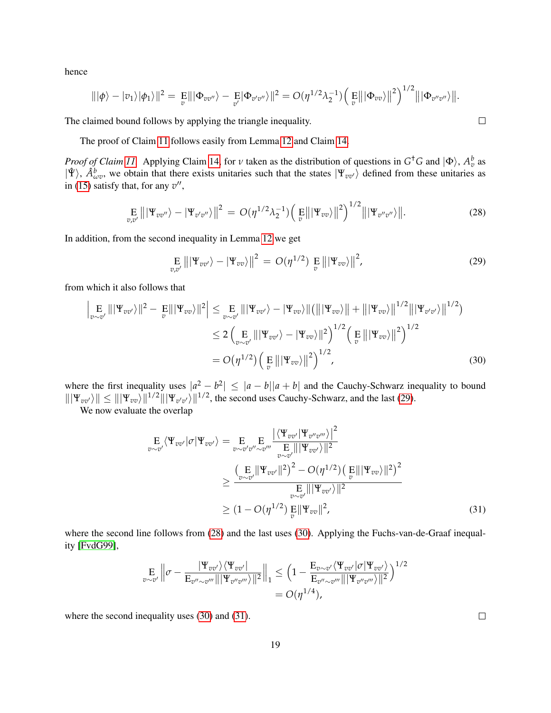hence

$$
\| |\phi\rangle - |v_1\rangle |\phi_1\rangle \|^2 = \mathop{\mathbb{E}}_{v} \| |\Phi_{vv''}\rangle - \mathop{\mathbb{E}}_{v'} |\Phi_{v'v''}\rangle \|^2 = O(\eta^{1/2} \lambda_2^{-1}) \Big( \mathop{\mathbb{E}}_{v} \| |\Phi_{vv}\rangle \|^2 \Big)^{1/2} \| |\Phi_{v''v''}\rangle \|.
$$

The claimed bound follows by applying the triangle inequality.

The proof of Claim [11](#page-15-0) follows easily from Lemma [12](#page-16-0) and Claim [14.](#page-17-0)

*Proof of Claim [11.](#page-15-0)* Applying Claim [14,](#page-17-0) for *ν* taken as the distribution of questions in  $G^{\dagger}G$  and  $|\Phi\rangle$ ,  $A_v^b$  as  $|\hat{\Psi}\rangle$ ,  $\hat{A}^b_{\omega v}$ , we obtain that there exists unitaries such that the states  $|\Psi_{vv'}\rangle$  defined from these unitaries as in [\(15\)](#page-14-0) satisfy that, for any  $v''$ ,

<span id="page-18-1"></span>
$$
\underset{v,v'}{\mathbf{E}}|||\Psi_{vv''}\rangle - |\Psi_{v'v''}\rangle||^2 = O(\eta^{1/2}\lambda_2^{-1})\Big(\underset{v}{\mathbf{E}}|||\Psi_{vv}\rangle||^2\Big)^{1/2}|||\Psi_{v''v''}\rangle||. \tag{28}
$$

In addition, from the second inequality in Lemma [12](#page-16-0) we get

<span id="page-18-0"></span>
$$
\underset{v,v'}{\mathrm{E}}\left\|\left|\Psi_{vv'}\right\rangle-\left|\Psi_{vv}\right\rangle\right\|^2\,=\,O(\eta^{1/2})\underset{v}{\mathrm{E}}\left\|\left|\Psi_{vv}\right\rangle\right\|^2,\tag{29}
$$

from which it also follows that

$$
\left| \underset{v \sim v'}{\mathbb{E}} |||\Psi_{vv'}\rangle||^2 - \underset{v}{\mathbb{E}} |||\Psi_{vv}\rangle||^2 \right| \leq \underset{v \sim v'}{\mathbb{E}} |||\Psi_{vv'}\rangle - |\Psi_{vv}\rangle||(|||\Psi_{vv}\rangle|| + |||\Psi_{vv}\rangle||^{1/2}|||\Psi_{v'v'}\rangle||^{1/2})
$$
  

$$
\leq 2 \left( \underset{v \sim v'}{\mathbb{E}} |||\Psi_{vv'}\rangle - |\Psi_{vv}\rangle||^2 \right)^{1/2} \left( \underset{v}{\mathbb{E}} |||\Psi_{vv}\rangle||^2 \right)^{1/2}
$$
  

$$
= O\big(\eta^{1/2}\big) \left( \underset{v}{\mathbb{E}} |||\Psi_{vv}\rangle||^2 \right)^{1/2}, \tag{30}
$$

where the first inequality uses  $|a^2 - b^2| \leq |a - b||a + b|$  and the Cauchy-Schwarz inequality to bound  $\|\Psi_{vv'}\| \leq \|\Psi_{vv}\|^{1/2} \|\Psi_{v'v'}\|^{1/2}$ , the second uses Cauchy-Schwarz, and the last [\(29\)](#page-18-0).

We now evaluate the overlap

$$
\mathop{\mathbf{E}}\limits_{v \sim v'} \langle \Psi_{vv'} | \sigma | \Psi_{vv'} \rangle = \mathop{\mathbf{E}}\limits_{v \sim v'v'' \sim v'''} \mathop{\mathbf{E}}\limits_{v \sim v'} \frac{|\langle \Psi_{vv'} | \Psi_{vv''} \rangle|^2}{\mathop{\mathbf{E}}\limits_{v \sim v'} ||\Psi_{vv'}||^2}
$$
\n
$$
\geq \frac{\left(\mathop{\mathbf{E}}\limits_{v \sim v'} || \Psi_{vv'} ||^2\right)^2 - O(\eta^{1/2}) \left(\mathop{\mathbf{E}}\limits_{v} || \Psi_{vv} \rangle ||^2\right)^2}{\mathop{\mathbf{E}}\limits_{v \sim v'} ||\Psi_{vv'}||^2}
$$
\n
$$
\geq (1 - O(\eta^{1/2}) \mathop{\mathbf{E}}\limits_{v} ||\Psi_{vv}||^2, \tag{31}
$$

where the second line follows from [\(28\)](#page-18-1) and the last uses [\(30\)](#page-18-2). Applying the Fuchs-van-de-Graaf inequality [\[FvdG99\]](#page-28-16),

$$
\mathop{\mathbf{E}}_{v \sim v'} \left\| \sigma - \frac{|\Psi_{vv'}\rangle \langle \Psi_{vv'}|}{\mathop{\mathbf{E}}_{v'' \sim v'''} |||\Psi_{v''v'''}\rangle ||^2} \right\|_1 \leq \left(1 - \frac{\mathop{\mathbf{E}}_{v \sim v'} \langle \Psi_{vv'}|\sigma|\Psi_{vv'}\rangle}{\mathop{\mathbf{E}}_{v'' \sim v'''} |||\Psi_{v''v'''}\rangle ||^2}\right)^{1/2}
$$

$$
= O(\eta^{1/4}),
$$

where the second inequality uses [\(30\)](#page-18-2) and [\(31\)](#page-18-3).

<span id="page-18-3"></span> $\Box$ 

<span id="page-18-2"></span> $\Box$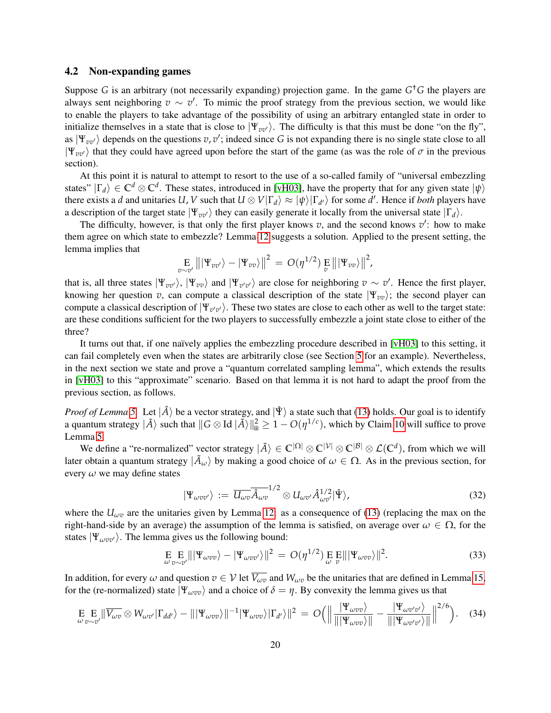### <span id="page-19-0"></span>4.2 Non-expanding games

Suppose *G* is an arbitrary (not necessarily expanding) projection game. In the game *G* †*G* the players are always sent neighboring  $v \sim v'$ . To mimic the proof strategy from the previous section, we would like to enable the players to take advantage of the possibility of using an arbitrary entangled state in order to initialize themselves in a state that is close to  $|\Psi_{vv'}\rangle$ . The difficulty is that this must be done "on the fly", as  $|\Psi_{vv'}\rangle$  depends on the questions  $v, v'$ ; indeed since G is not expanding there is no single state close to all  $|\Psi_{vv'}\rangle$  that they could have agreed upon before the start of the game (as was the role of  $\sigma$  in the previous section).

At this point it is natural to attempt to resort to the use of a so-called family of "universal embezzling states"  $|\Gamma_d\rangle \in \mathbb{C}^d \otimes \mathbb{C}^d$ . These states, introduced in [\[vH03\]](#page-29-3), have the property that for any given state  $|\psi\rangle$ there exists a *d* and unitaries *U*, *V* such that  $U \otimes V|\Gamma_d\rangle \approx |\psi\rangle|\Gamma_{d'}\rangle$  for some *d'*. Hence if *both* players have a description of the target state  $|\Psi_{vv'}\rangle$  they can easily generate it locally from the universal state  $|\Gamma_d\rangle$ .

The difficulty, however, is that only the first player knows  $v$ , and the second knows  $v'$ : how to make them agree on which state to embezzle? Lemma [12](#page-16-0) suggests a solution. Applied to the present setting, the lemma implies that

$$
\mathop{\mathbb{E}}\limits_{v\sim v'}\big\|\left|\Psi_{vv'}\right\rangle-\left|\Psi_{vv}\right\rangle\big\|^2=\,O(\eta^{1/2})\mathop{\mathbb{E}}\limits_{v}\left\|\left|\Psi_{vv}\right\rangle\right\|^2,
$$

that is, all three states  $|\Psi_{vv}\rangle$ ,  $|\Psi_{vv}\rangle$  and  $|\Psi_{v'v'}\rangle$  are close for neighboring  $v \sim v'$ . Hence the first player, knowing her question *v*, can compute a classical description of the state  $|\Psi_{vv}\rangle$ ; the second player can compute a classical description of  $|\Psi_{v'v'}\rangle$ . These two states are close to each other as well to the target state: are these conditions sufficient for the two players to successfully embezzle a joint state close to either of the three?

It turns out that, if one naïvely applies the embezzling procedure described in [\[vH03\]](#page-29-3) to this setting, it can fail completely even when the states are arbitrarily close (see Section [5](#page-21-0) for an example). Nevertheless, in the next section we state and prove a "quantum correlated sampling lemma", which extends the results in [\[vH03\]](#page-29-3) to this "approximate" scenario. Based on that lemma it is not hard to adapt the proof from the previous section, as follows.

*Proof of Lemma* [5.](#page-9-3) Let  $|\hat{A}\rangle$  be a vector strategy, and  $|\hat{\Psi}\rangle$  a state such that [\(13\)](#page-13-2) holds. Our goal is to identify a quantum strategy  $|\tilde{A}\rangle$  such that  $||G \otimes Id|\tilde{A}\rangle||^2_{\mathbb{B}} \geq 1 - O(\eta^{1/c})$ , which by Claim [10](#page-13-3) will suffice to prove Lemma [5.](#page-9-3)

We define a "re-normalized" vector strategy  $|\tilde{A}\rangle \in \mathbb{C}^{|\Omega|} \otimes \mathbb{C}^{|\mathcal{V}|} \otimes \mathbb{C}^{|\mathcal{B}|} \otimes \mathcal{L}(\mathbb{C}^d)$ , from which we will later obtain a quantum strategy  $|\tilde{A}_\omega\rangle$  by making a good choice of  $\omega \in \Omega$ . As in the previous section, for every *ω* we may define states

$$
|\Psi_{\omega v v'}\rangle := \overline{U_{\omega v}} \overline{\hat{A}_{\omega v}}^{1/2} \otimes U_{\omega v'} \hat{A}_{\omega v'}^{1/2} |\hat{\Psi}\rangle, \tag{32}
$$

where the  $U_{\omega v}$  are the unitaries given by Lemma [12:](#page-16-0) as a consequence of [\(13\)](#page-13-2) (replacing the max on the right-hand-side by an average) the assumption of the lemma is satisfied, on average over  $\omega \in \Omega$ , for the states  $|\Psi_{\omega v v'}\rangle$ . The lemma gives us the following bound:

<span id="page-19-1"></span>
$$
\mathop{\mathbf{E}}_{\omega_{\nu} \sim v'} \| |\Psi_{\omega v v} \rangle - |\Psi_{\omega v v'} \rangle \|^2 = O(\eta^{1/2}) \mathop{\mathbf{E}}_{\omega} \mathop{\mathbf{E}}_{v} \| |\Psi_{\omega v v} \rangle \|^2.
$$
 (33)

In addition, for every  $\omega$  and question  $v \in V$  let  $\overline{V_{\omega v}}$  and  $W_{\omega v}$  be the unitaries that are defined in Lemma [15,](#page-21-1) for the (re-normalized) state  $|\Psi_{\omega v v}\rangle$  and a choice of  $\delta = \eta$ . By convexity the lemma gives us that

<span id="page-19-2"></span>
$$
\underset{\omega}{\mathrm{E}}\underset{v\sim v'}{\mathrm{E}}\|\overline{V_{\omega v}}\otimes W_{\omega v'}|\Gamma_{dd'}\rangle-\||\Psi_{\omega vv}\rangle\|^{-1}|\Psi_{\omega vv}\rangle|\Gamma_{d'}\rangle\|^{2}=O\Big(\Big\|\frac{|\Psi_{\omega vv}\rangle}{\|\Psi_{\omega vv}\rangle\|}-\frac{|\Psi_{\omega v'v'}\rangle}{\|\Psi_{\omega v'v'}\rangle\|}\Big\|^{2/6}\Big). \quad (34)
$$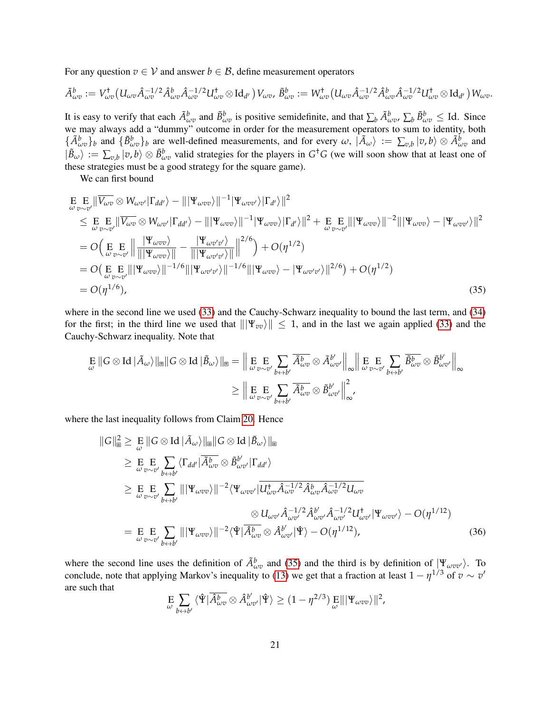For any question  $v \in V$  and answer  $b \in \mathcal{B}$ , define measurement operators

$$
\tilde{A}^b_{\omega v} := V^{\dagger}_{\omega v} (U_{\omega v} \hat{A}_{\omega v}^{-1/2} \hat{A}^b_{\omega v} \hat{A}_{\omega v}^{-1/2} U^{\dagger}_{\omega v} \otimes \mathrm{Id}_{d'}) V_{\omega v}, \, \tilde{B}^b_{\omega v} := W^{\dagger}_{\omega v} (U_{\omega v} \hat{A}_{\omega v}^{-1/2} \hat{A}^b_{\omega v} \hat{A}_{\omega v}^{-1/2} U^{\dagger}_{\omega v} \otimes \mathrm{Id}_{d'}) W_{\omega v}.
$$

It is easy to verify that each  $\tilde{A}^b_{\omega v}$  and  $\tilde{B}^b_{\omega v}$  is positive semidefinite, and that  $\sum_b \tilde{A}^b_{\omega v}$ ,  $\sum_b \tilde{B}^b_{\omega v} \leq$  Id. Since we may always add a "dummy" outcome in order for the measurement operators to sum to identity, both  $\{\tilde{A}^b_{\omega v}\}_b$  and  $\{\tilde{B}^b_{\omega v}\}_b$  are well-defined measurements, and for every  $\omega$ ,  $|\tilde{A}_{\omega}\rangle := \sum_{v,b}|v,b\rangle \otimes \tilde{A}^b_{\omega v}$  and  $|\tilde{B}_{\omega}\rangle := \sum_{v,b} |v,b\rangle \otimes \tilde{B}_{\omega v}^b$  valid strategies for the players in  $G<sup>\dagger</sup>G$  (we will soon show that at least one of these strategies must be a good strategy for the square game).

We can first bound

$$
E_{\omega v \sim v'} || \overline{V_{\omega v}} \otimes W_{\omega v'} | \Gamma_{dd'} \rangle - || |\Psi_{\omega v v} \rangle ||^{-1} |\Psi_{\omega v v'} \rangle | \Gamma_{d'} \rangle ||^{2}
$$
  
\n
$$
\leq E_{\omega v \sim v'} || \overline{V_{\omega v}} \otimes W_{\omega v'} | \Gamma_{dd'} \rangle - || |\Psi_{\omega v v} \rangle ||^{-1} |\Psi_{\omega v v} \rangle | \Gamma_{d'} \rangle ||^{2} + E_{\omega v \sim v'} || |\Psi_{\omega v v} \rangle ||^{-2} || |\Psi_{\omega v v} \rangle - |\Psi_{\omega v v'} \rangle ||^{2}
$$
  
\n
$$
= O\left(E_{\omega v \sim v'} || || \overline{|\Psi_{\omega v v}} \rangle || - \frac{|\Psi_{\omega v' v'} \rangle}{|| |\Psi_{\omega v' v'} \rangle ||} ||^{2/6}\right) + O(\eta^{1/2})
$$
  
\n
$$
= O\left(E_{\omega v \sim v'} || |\Psi_{\omega v v} \rangle ||^{-1/6} || |\Psi_{\omega v' v'} \rangle ||^{-1/6} || |\Psi_{\omega v v} \rangle - |\Psi_{\omega v' v'} \rangle ||^{2/6}\right) + O(\eta^{1/2})
$$
  
\n
$$
= O(\eta^{1/6}), \qquad (35)
$$

where in the second line we used [\(33\)](#page-19-1) and the Cauchy-Schwarz inequality to bound the last term, and [\(34\)](#page-19-2) for the first; in the third line we used that  $\|\Psi_{vv}\| \leq 1$ , and in the last we again applied [\(33\)](#page-19-1) and the Cauchy-Schwarz inequality. Note that

<span id="page-20-0"></span>
$$
\mathop{\mathbb{E}}_{\omega} \|G \otimes \text{Id} \,|\tilde{A}_{\omega}\rangle\|_{\mathbb{B}} \|G \otimes \text{Id} \,|\tilde{B}_{\omega}\rangle\|_{\mathbb{B}} = \Big\|\mathop{\mathbb{E}}_{\omega} \mathop{\mathbb{E}}_{v \sim v'} \sum_{b \leftrightarrow b'} \overline{\tilde{A}_{\omega v}^{b}} \otimes \tilde{A}_{\omega v'}^{b'}\Big\|_{\infty} \Big\|\mathop{\mathbb{E}}_{\omega} \mathop{\mathbb{E}}_{v \sim v'} \sum_{b \leftrightarrow b'} \overline{\tilde{B}_{\omega v}^{b}} \otimes \tilde{B}_{\omega v'}^{b'}\Big\|_{\infty} \Big\}
$$

$$
\geq \Big\|\mathop{\mathbb{E}}_{\omega} \mathop{\mathbb{E}}_{v \sim v'} \sum_{b \leftrightarrow b'} \overline{\tilde{A}_{\omega v}^{b}} \otimes \tilde{B}_{\omega v'}^{b'}\Big\|_{\infty}^{2},
$$

where the last inequality follows from Claim [20.](#page-25-1) Hence

$$
\|G\|_{\mathbb{B}}^{2} \geq E \|G \otimes \text{Id} |A_{\omega}\rangle\|_{\mathbb{B}} \|G \otimes \text{Id} |\tilde{B}_{\omega}\rangle\|_{\mathbb{B}}
$$
  
\n
$$
\geq E E E \sum_{\omega \circ \sim v'} \langle \Gamma_{dd'} | \overline{A_{\omega v}^{b}} \otimes \tilde{B}_{\omega v'}^{b'} | \Gamma_{dd'} \rangle
$$
  
\n
$$
\geq E E E \sum_{\omega \circ \sim v'} \sum_{b \leftrightarrow b'} \| |\Psi_{\omega v v} \rangle|^{-2} \langle \Psi_{\omega v v'} | \overline{U_{\omega v}^{+} \hat{A}_{\omega v}^{-1/2} \hat{A}_{\omega v}^{b} \hat{A}_{\omega v}^{-1/2} U_{\omega v}} \rangle
$$
  
\n
$$
\approx U_{\omega v'} \hat{A}_{\omega v'}^{-1/2} \hat{A}_{\omega v'}^{b'} \hat{A}_{\omega v'}^{-1/2} U_{\omega v'}^{\dagger} |\Psi_{\omega v v'} \rangle - O(\eta^{1/12})
$$
  
\n
$$
= E E E \sum_{\omega \circ \sim v'} \sum_{b \leftrightarrow b'} \| |\Psi_{\omega v v} \rangle \|^{-2} \langle \hat{\Psi} | \overline{\hat{A}_{\omega v}^{b}} \otimes \hat{A}_{\omega v'}^{b'} | \hat{\Psi} \rangle - O(\eta^{1/12}), \qquad (36)
$$

where the second line uses the definition of  $\tilde{A}^b_{\omega v}$  and [\(35\)](#page-20-0) and the third is by definition of  $|\Psi_{\omega v v'}\rangle$ . To conclude, note that applying Markov's inequality to [\(13\)](#page-13-2) we get that a fraction at least  $1 - \eta^{1/3}$  of  $v \sim v'$ are such that

<span id="page-20-1"></span>
$$
\underset{\omega}{\mathrm{E}}\sum_{b\leftrightarrow b'}\langle \hat{\Psi}|\overline{\hat{A}_{\omega v}^{b}}\otimes \hat{A}_{\omega v'}^{b'}|\hat{\Psi}\rangle \geq (1-\eta^{2/3})\underset{\omega}{\mathrm{E}}\||\Psi_{\omega vv}\rangle\|^{2},
$$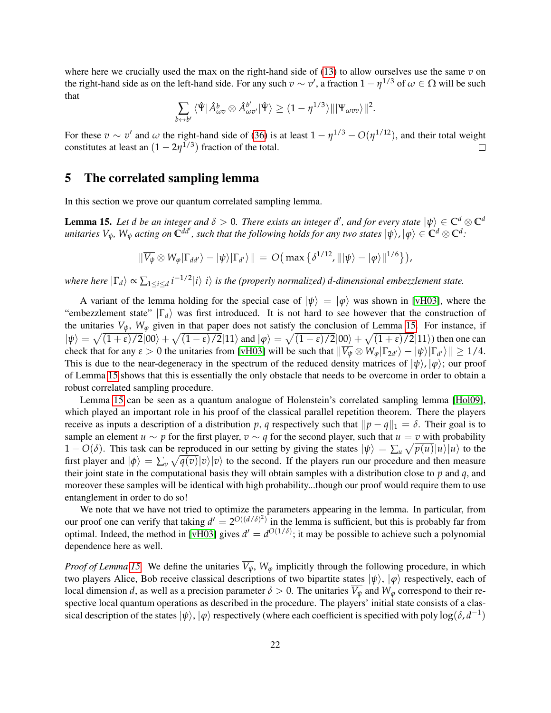where here we crucially used the max on the right-hand side of [\(13\)](#page-13-2) to allow ourselves use the same *v* on the right-hand side as on the left-hand side. For any such  $v \sim v'$ , a fraction  $1 - \eta^{1/3}$  of  $\omega \in \Omega$  will be such that

$$
\sum_{b \leftrightarrow b'} \langle \hat{\Psi} | \overline{\hat{A}_{\omega v}^b} \otimes \hat{A}_{\omega v'}^{b'} | \hat{\Psi} \rangle \ge (1 - \eta^{1/3}) \| | \Psi_{\omega v v} \rangle \|^2.
$$

For these  $v \sim v'$  and  $\omega$  the right-hand side of [\(36\)](#page-20-1) is at least  $1 - \eta^{1/3} - O(\eta^{1/12})$ , and their total weight constitutes at least an  $(1 - 2\eta^{1/3})$  fraction of the total.  $\Box$ 

### <span id="page-21-0"></span>5 The correlated sampling lemma

In this section we prove our quantum correlated sampling lemma.

<span id="page-21-1"></span>**Lemma 15.** Let  $d$  be an integer and  $\delta > 0$ . There exists an integer  $d'$ , and for every state  $|\psi\rangle \in C^d \otimes C^d$  $\int u$  *anitaries*  $V_\psi$ ,  $W_\psi$  *acting on*  $\int_0^{dd'}$ , *such that the following holds for any two states*  $|\psi\rangle$ ,  $|\phi\rangle \in C^d \otimes C^d$ .

$$
\|\overline{V_{\psi}} \otimes W_{\varphi}|\Gamma_{dd'}\rangle - |\psi\rangle |\Gamma_{d'}\rangle\| = O\big(\max\big\{\delta^{1/12},\| |\psi\rangle - |\varphi\rangle \|^{1/6}\big\}\big),\,
$$

*where here*  $|\Gamma_d\rangle \propto \sum_{1\leq i\leq d} i^{-1/2} |i\rangle |i\rangle$  is the (properly normalized) d-dimensional embezzlement state.

A variant of the lemma holding for the special case of  $|\psi\rangle = |\varphi\rangle$  was shown in [\[vH03\]](#page-29-3), where the "embezzlement state"  $|\Gamma_d\rangle$  was first introduced. It is not hard to see however that the construction of the unitaries  $V_{\psi}$ ,  $W_{\varphi}$  given in that paper does not satisfy the conclusion of Lemma [15.](#page-21-1) For instance, if  $|\psi\rangle = \sqrt{(1+\epsilon)/2}|00\rangle + \sqrt{(1-\epsilon)/2}|11\rangle$  and  $|\varphi\rangle = \sqrt{(1-\epsilon)/2}|00\rangle + \sqrt{(1+\epsilon)/2}|11\rangle$ ) then one can check that for any  $\varepsilon > 0$  the unitaries from [\[vH03\]](#page-29-3) will be such that  $\|\overline{V_{\psi}} \otimes W_{\varphi}|\Gamma_{2d'}\rangle - |\psi\rangle|\Gamma_{d'}\rangle\| \ge 1/4$ . This is due to the near-degeneracy in the spectrum of the reduced density matrices of  $|\psi\rangle, |\varphi\rangle$ ; our proof of Lemma [15](#page-21-1) shows that this is essentially the only obstacle that needs to be overcome in order to obtain a robust correlated sampling procedure.

Lemma [15](#page-21-1) can be seen as a quantum analogue of Holenstein's correlated sampling lemma [\[Hol09\]](#page-28-2), which played an important role in his proof of the classical parallel repetition theorem. There the players receive as inputs a description of a distribution *p*, *q* respectively such that  $\|p - q\|_1 = \delta$ . Their goal is to sample an element *u* ∼ *p* for the first player, *v* ∼ *q* for the second player, such that *u* = *v* with probability 1 − *O*( $\delta$ ). This task can be reproduced in our setting by giving the states  $|\psi\rangle = \sum_{u} \sqrt{p(u)} |u\rangle |u\rangle$  to the first player and  $|\phi\rangle = \sum_v \sqrt{q(v)} |v\rangle |v\rangle$  to the second. If the players run our procedure and then measure their joint state in the computational basis they will obtain samples with a distribution close to *p* and *q*, and moreover these samples will be identical with high probability...though our proof would require them to use entanglement in order to do so!

We note that we have not tried to optimize the parameters appearing in the lemma. In particular, from our proof one can verify that taking  $d' = 2^{O((d/\delta)^2)}$  in the lemma is sufficient, but this is probably far from optimal. Indeed, the method in [\[vH03\]](#page-29-3) gives  $d' = d^{O(1/\delta)}$ ; it may be possible to achieve such a polynomial dependence here as well.

*Proof of Lemma [15.](#page-21-1)* We define the unitaries  $\overline{V_{\psi}}$ ,  $W_{\varphi}$  implicitly through the following procedure, in which two players Alice, Bob receive classical descriptions of two bipartite states  $|\psi\rangle$ ,  $|\varphi\rangle$  respectively, each of local dimension *d*, as well as a precision parameter  $\delta > 0$ . The unitaries  $\overline{V_{\psi}}$  and  $W_{\varphi}$  correspond to their respective local quantum operations as described in the procedure. The players' initial state consists of a classical description of the states  $|\psi\rangle$ ,  $|\phi\rangle$  respectively (where each coefficient is specified with poly log( $\delta$ ,  $d^{-1}$ )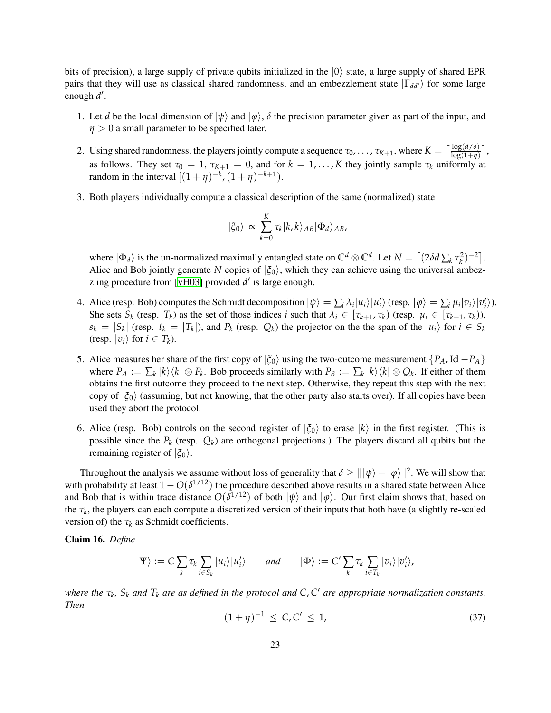bits of precision), a large supply of private qubits initialized in the  $|0\rangle$  state, a large supply of shared EPR pairs that they will use as classical shared randomness, and an embezzlement state  $|\Gamma_{dd'}\rangle$  for some large enough d'.

- 1. Let *d* be the local dimension of  $|\psi\rangle$  and  $|\varphi\rangle$ ,  $\delta$  the precision parameter given as part of the input, and *η* > 0 a small parameter to be specified later.
- 2. Using shared randomness, the players jointly compute a sequence  $\tau_0, \ldots, \tau_{K+1}$ , where  $K = \lceil \frac{\log(d/\delta)}{\log(1+\eta)} \rceil$ , as follows. They set  $\tau_0 = 1$ ,  $\tau_{K+1} = 0$ , and for  $k = 1, \ldots, K$  they jointly sample  $\tau_k$  uniformly at random in the interval  $[(1 + \eta)^{-k}, (1 + \eta)^{-k+1}).$
- 3. Both players individually compute a classical description of the same (normalized) state

$$
|\xi_0\rangle \propto \sum_{k=0}^{K} \tau_k |k,k\rangle_{AB} |\Phi_d\rangle_{AB},
$$

where  $|\Phi_d\rangle$  is the un-normalized maximally entangled state on  $\mathbb{C}^d \otimes \mathbb{C}^d$ . Let  $N = \left[ (2\delta d \sum_k \tau_k^2)^{-2} \right]$ . Alice and Bob jointly generate *N* copies of  $|\xi_0\rangle$ , which they can achieve using the universal ambez-zling procedure from [\[vH03\]](#page-29-3) provided  $d'$  is large enough.

- 4. Alice (resp. Bob) computes the Schmidt decomposition  $|\psi\rangle = \sum_i \lambda_i |u_i\rangle |u'_i\rangle$  (resp.  $|\varphi\rangle = \sum_i \mu_i |v_i\rangle |v'_i\rangle$ ). She sets  $S_k$  (resp.  $T_k$ ) as the set of those indices i such that  $\lambda_i \in [\tau_{k+1}, \tau_k)$  (resp.  $\mu_i \in [\tau_{k+1}, \tau_k)$ ),  $s_k = |S_k|$  (resp.  $t_k = |T_k|$ ), and  $P_k$  (resp.  $Q_k$ ) the projector on the the span of the  $|u_i\rangle$  for  $i \in S_k$ (resp.  $|v_i\rangle$  for  $i \in T_k$ ).
- 5. Alice measures her share of the first copy of  $|\xi_0\rangle$  using the two-outcome measurement  $\{P_A, \text{Id} P_A\}$ where  $P_A := \sum_k |k\rangle\langle k| \otimes P_k$ . Bob proceeds similarly with  $P_B := \sum_k |k\rangle\langle k| \otimes Q_k$ . If either of them obtains the first outcome they proceed to the next step. Otherwise, they repeat this step with the next copy of  $|\xi_0\rangle$  (assuming, but not knowing, that the other party also starts over). If all copies have been used they abort the protocol.
- 6. Alice (resp. Bob) controls on the second register of  $|\xi_0\rangle$  to erase  $|k\rangle$  in the first register. (This is possible since the  $P_k$  (resp.  $Q_k$ ) are orthogonal projections.) The players discard all qubits but the remaining register of  $|\xi_0\rangle$ .

Throughout the analysis we assume without loss of generality that  $\delta \geq |||\psi\rangle - |\phi\rangle||^2$ . We will show that with probability at least  $1 - O(\delta^{1/12})$  the procedure described above results in a shared state between Alice and Bob that is within trace distance  $O(\delta^{1/12})$  of both  $|\psi\rangle$  and  $|\phi\rangle$ . Our first claim shows that, based on the  $\tau_k$ , the players can each compute a discretized version of their inputs that both have (a slightly re-scaled version of) the  $\tau_k$  as Schmidt coefficients.

<span id="page-22-1"></span>Claim 16. *Define*

$$
|\Psi\rangle := C \sum_{k} \tau_k \sum_{i \in S_k} |u_i\rangle |u_i'\rangle \quad \text{and} \quad |\Phi\rangle := C' \sum_{k} \tau_k \sum_{i \in T_k} |v_i\rangle |v_i'\rangle,
$$

*where the τ<sup>k</sup> , S<sup>k</sup> and T<sup>k</sup> are as defined in the protocol and C*, *C* <sup>0</sup> *are appropriate normalization constants. Then*

<span id="page-22-0"></span>
$$
(1+\eta)^{-1} \le C, C' \le 1,
$$
\n(37)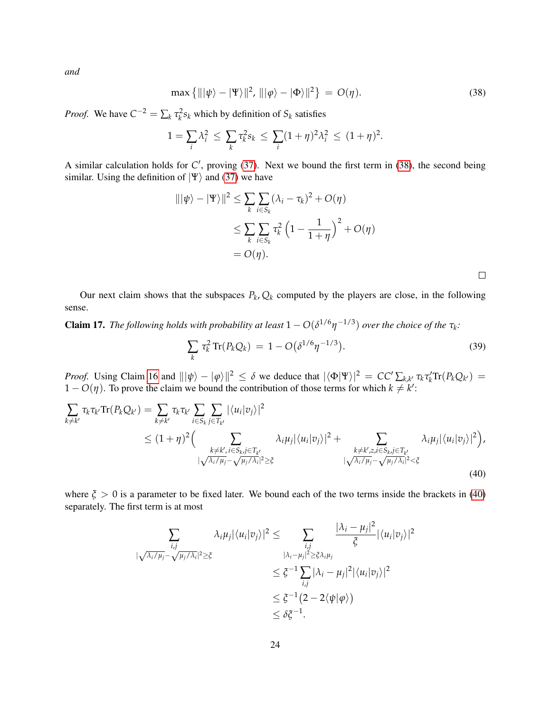*and*

<span id="page-23-0"></span>
$$
\max\left\{\|\left|\psi\right\rangle - \left|\Psi\right\rangle\|^2, \|\left|\varphi\right\rangle - \left|\Phi\right\rangle\|^2\right\} = O(\eta). \tag{38}
$$

*Proof.* We have  $C^{-2} = \sum_k \tau_k^2 s_k$  which by definition of  $S_k$  satisfies

$$
1 = \sum_{i} \lambda_i^2 \le \sum_{k} \tau_k^2 s_k \le \sum_{i} (1 + \eta)^2 \lambda_i^2 \le (1 + \eta)^2.
$$

A similar calculation holds for  $C'$ , proving [\(37\)](#page-22-0). Next we bound the first term in [\(38\)](#page-23-0), the second being similar. Using the definition of  $|\Psi\rangle$  and [\(37\)](#page-22-0) we have

$$
\|\psi\rangle - |\Psi\rangle\|^2 \le \sum_k \sum_{i \in S_k} (\lambda_i - \tau_k)^2 + O(\eta)
$$
  

$$
\le \sum_k \sum_{i \in S_k} \tau_k^2 \left(1 - \frac{1}{1 + \eta}\right)^2 + O(\eta)
$$
  

$$
= O(\eta).
$$

<span id="page-23-1"></span> $\Box$ 

Our next claim shows that the subspaces  $P_k$ ,  $Q_k$  computed by the players are close, in the following sense.

<span id="page-23-3"></span>**Claim 17.** *The following holds with probability at least*  $1 - O(\delta^{1/6} \eta^{-1/3})$  *over the choice of the*  $\tau_k$ :

<span id="page-23-2"></span>
$$
\sum_{k} \tau_k^2 \operatorname{Tr}(P_k Q_k) = 1 - O(\delta^{1/6} \eta^{-1/3}). \tag{39}
$$

*Proof.* Using Claim [16](#page-22-1) and  $\|\psi\rangle - |\phi\rangle\|^2 \le \delta$  we deduce that  $|\langle \Phi | \Psi \rangle|^2 = CC' \sum_{k,k'} \tau_k \tau_k' \text{Tr}(P_k Q_{k'}) =$  $1 - O(\eta)$ . To prove the claim we bound the contribution of those terms for which  $k \neq k'$ :

$$
\sum_{k \neq k'} \tau_k \tau_{k'} \text{Tr}(P_k Q_{k'}) = \sum_{k \neq k'} \tau_k \tau_{k'} \sum_{i \in S_k} \sum_{j \in T_{k'}} |\langle u_i | v_j \rangle|^2
$$
\n
$$
\leq (1 + \eta)^2 \Big( \sum_{\substack{k \neq k', i \in S_k, j \in T_{k'} \\ |\sqrt{\lambda_i/\mu_j} - \sqrt{\mu_j/\lambda_i}|^2 \geq \xi}} \lambda_i \mu_j |\langle u_i | v_j \rangle|^2 + \sum_{\substack{k \neq k', z, i \in S_k, j \in T_{k'} \\ |\sqrt{\lambda_i/\mu_j} - \sqrt{\mu_j/\lambda_i}|^2 < \xi}} \lambda_i \mu_j |\langle u_i | v_j \rangle|^2 \Big), \tag{40}
$$

where  $\xi > 0$  is a parameter to be fixed later. We bound each of the two terms inside the brackets in [\(40\)](#page-23-1) separately. The first term is at most

$$
\sum_{i,j \atop |\sqrt{\lambda_i/\mu_j} - \sqrt{\mu_j/\lambda_i}|^2 \ge \xi} \lambda_i \mu_j |\langle u_i | v_j \rangle|^2 \le \sum_{i,j \atop |\lambda_i - \mu_j|^2 \ge \xi \lambda_i \mu_j} \frac{|\lambda_i - \mu_j|^2}{\xi} |\langle u_i | v_j \rangle|^2
$$
  

$$
\le \xi^{-1} \sum_{i,j} |\lambda_i - \mu_j|^2 |\langle u_i | v_j \rangle|^2
$$
  

$$
\le \xi^{-1} (2 - 2 \langle \psi | \varphi \rangle)
$$
  

$$
\le \delta \xi^{-1}.
$$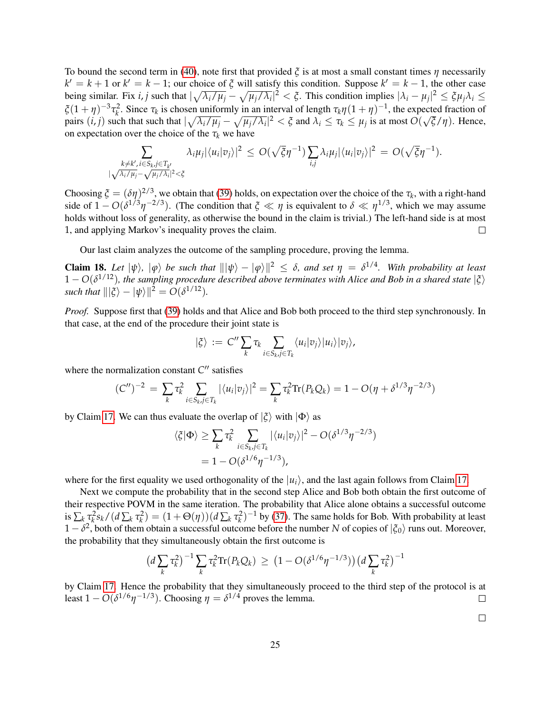To bound the second term in [\(40\)](#page-23-1), note first that provided *ξ* is at most a small constant times *η* necessarily  $k' = k + 1$  or  $k' = k - 1$ ; our choice of  $\zeta$  will satisfy this condition. Suppose  $k' = k - 1$ , the other case being similar. Fix *i*, *j* such that  $|\sqrt{\lambda_i/\mu_j} - \sqrt{\mu_j/\lambda_i}|^2 < \xi$ . This condition implies  $|\lambda_i - \mu_j|^2 \le \xi \mu_j \lambda_i \le$  $\zeta(1+\eta)^{-3}\tau_k^2$ . Since  $\tau_k$  is chosen uniformly in an interval of length  $\tau_k\eta(1+\eta)^{-1}$ , the expected fraction of pairs  $(i, j)$  such that such that  $|\sqrt{\lambda_i/\mu_j} - \sqrt{\mu_j/\lambda_i}|^2 < \xi$  and  $\lambda_i \le \tau_k \le \mu_j$  is at most O( √ *ξ*/*η*). Hence, on expectation over the choice of the  $\tau_k$  we have

$$
\sum_{\substack{k \neq k', i \in S_k, j \in T_{k'} \\ |\sqrt{\lambda_i/\mu_j} - \sqrt{\mu_j/\lambda_i}|^2 < \xi}} \lambda_i \mu_j |\langle u_i | v_j \rangle|^2 \le O(\sqrt{\xi} \eta^{-1}) \sum_{i,j} \lambda_i \mu_j |\langle u_i | v_j \rangle|^2 = O(\sqrt{\xi} \eta^{-1}).
$$

Choosing  $\zeta = (\delta \eta)^{2/3}$ , we obtain that [\(39\)](#page-23-2) holds, on expectation over the choice of the  $\tau_k$ , with a right-hand side of  $1 - O(\delta^{1/3}\eta^{-2/3})$ . (The condition that  $\xi \ll \eta$  is equivalent to  $\delta \ll \eta^{1/3}$ , which we may assume holds without loss of generality, as otherwise the bound in the claim is trivial.) The left-hand side is at most 1, and applying Markov's inequality proves the claim.  $\Box$ 

Our last claim analyzes the outcome of the sampling procedure, proving the lemma.

Claim 18. Let  $|\psi\rangle$ ,  $|\phi\rangle$  be such that  $\| |\psi\rangle - |\phi\rangle\|^2 \leq \delta$ , and set  $\eta = \delta^{1/4}$ . With probability at least  $1 - O(\delta^{1/12})$ , the sampling procedure described above terminates with Alice and Bob in a shared state  $|\xi\rangle$ *such that*  $\|\xi\rangle - \psi\rangle\|^2 = O(\delta^{1/12})$ *.* 

*Proof.* Suppose first that [\(39\)](#page-23-2) holds and that Alice and Bob both proceed to the third step synchronously. In that case, at the end of the procedure their joint state is

$$
|\xi\rangle := C'' \sum_{k} \tau_k \sum_{i \in S_k, j \in T_k} \langle u_i | v_j \rangle |u_i \rangle |v_j \rangle,
$$

where the normalization constant  $C''$  satisfies

$$
(C'')^{-2} = \sum_{k} \tau_k^2 \sum_{i \in S_k, j \in T_k} |\langle u_i | v_j \rangle|^2 = \sum_{k} \tau_k^2 \text{Tr}(P_k Q_k) = 1 - O(\eta + \delta^{1/3} \eta^{-2/3})
$$

by Claim [17.](#page-23-3) We can thus evaluate the overlap of  $|\xi\rangle$  with  $|\Phi\rangle$  as

$$
\langle \xi | \Phi \rangle \geq \sum_{k} \tau_k^2 \sum_{i \in S_k, j \in T_k} |\langle u_i | v_j \rangle|^2 - O(\delta^{1/3} \eta^{-2/3})
$$
  
= 1 - O(\delta^{1/6} \eta^{-1/3}),

where for the first equality we used orthogonality of the  $|u_i\rangle$ , and the last again follows from Claim [17.](#page-23-3)

Next we compute the probability that in the second step Alice and Bob both obtain the first outcome of their respective POVM in the same iteration. The probability that Alice alone obtains a successful outcome is  $\sum_k \tau_k^2 s_k/(d \sum_k \tau_k^2) = (1 + \Theta(\eta))(d \sum_k \tau_k^2)^{-1}$  by [\(37\)](#page-22-0). The same holds for Bob. With probability at least  $1-\delta^2$ , both of them obtain a successful outcome before the number *N* of copies of  $|\xi_0\rangle$  runs out. Moreover, the probability that they simultaneously obtain the first outcome is

$$
\left(d\sum_{k}\tau_{k}^{2}\right)^{-1}\sum_{k}\tau_{k}^{2}\mathrm{Tr}(P_{k}Q_{k}) \,\geq\, \left(1-\mathrm{O}(\delta^{1/6}\eta^{-1/3})\right)\left(d\sum_{k}\tau_{k}^{2}\right)^{-1}
$$

by Claim [17.](#page-23-3) Hence the probability that they simultaneously proceed to the third step of the protocol is at least  $1 - O(\delta^{1/6} \eta^{-1/3})$ . Choosing  $\eta = \delta^{1/4}$  proves the lemma.  $\Box$ 

 $\Box$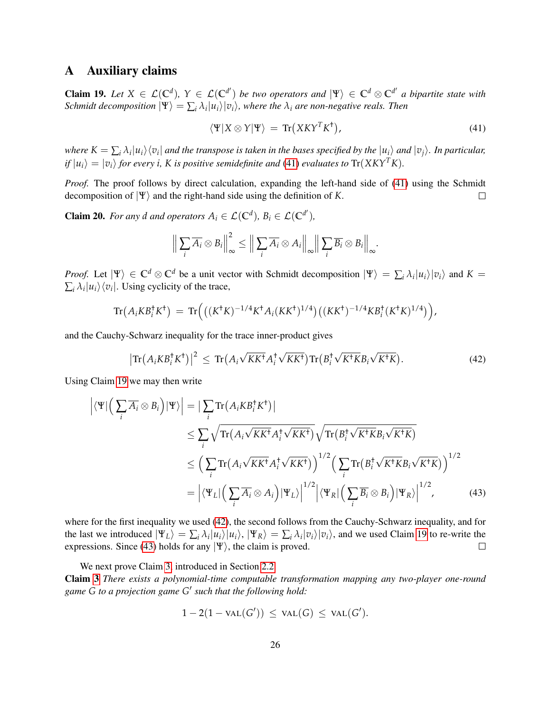### <span id="page-25-0"></span>A Auxiliary claims

<span id="page-25-2"></span>**Claim 19.** Let  $X \in \mathcal{L}(\mathbb{C}^d)$ ,  $Y \in \mathcal{L}(\mathbb{C}^{d'})$  be two operators and  $|\Psi\rangle \in \mathbb{C}^d \otimes \mathbb{C}^{d'}$  a bipartite state with *Schmidt decomposition*  $|\Psi\rangle = \sum_i \lambda_i |u_i\rangle |v_i\rangle$ , where the  $\lambda_i$  are non-negative reals. Then

<span id="page-25-3"></span>
$$
\langle \Psi | X \otimes Y | \Psi \rangle = \text{Tr}(X K Y^T K^{\dagger}), \tag{41}
$$

where  $K=\sum_i\lambda_i|u_i\rangle\langle v_i|$  and the transpose is taken in the bases specified by the  $|u_i\rangle$  and  $|v_j\rangle$ . In particular,  $if |u_i\rangle = |v_i\rangle$  *for every i*, *K is positive semidefinite and* [\(41\)](#page-25-3) *evaluates to*  $Tr(XKY^TK)$ *.* 

*Proof.* The proof follows by direct calculation, expanding the left-hand side of [\(41\)](#page-25-3) using the Schmidt decomposition of  $|\Psi\rangle$  and the right-hand side using the definition of *K*.  $\Box$ 

<span id="page-25-1"></span>**Claim 20.** *For any d and operators*  $A_i \in \mathcal{L}(\mathbb{C}^d)$ ,  $B_i \in \mathcal{L}(\mathbb{C}^{d'})$ ,

$$
\left\| \sum_i \overline{A_i} \otimes B_i \right\|_{\infty}^2 \le \left\| \sum_i \overline{A_i} \otimes A_i \right\|_{\infty} \left\| \sum_i \overline{B_i} \otimes B_i \right\|_{\infty}.
$$

*Proof.* Let  $|\Psi\rangle \in \mathbb{C}^d \otimes \mathbb{C}^d$  be a unit vector with Schmidt decomposition  $|\Psi\rangle = \sum_i \lambda_i |u_i\rangle |v_i\rangle$  and  $K =$  $\sum_i \lambda_i |u_i\rangle\langle v_i|$ . Using cyclicity of the trace,

$$
\mathrm{Tr}\big(A_iKB_i^{\dagger}K^{\dagger}\big) = \mathrm{Tr}\Big(\big((K^{\dagger}K)^{-1/4}K^{\dagger}A_i(KK^{\dagger})^{1/4}\big)\big((KK^{\dagger})^{-1/4}KB_i^{\dagger}(K^{\dagger}K)^{1/4}\big)\Big),
$$

and the Cauchy-Schwarz inequality for the trace inner-product gives

<span id="page-25-4"></span>
$$
\left|\text{Tr}\left(A_iKB_i^{\dagger}K^{\dagger}\right)\right|^2 \leq \text{Tr}\left(A_i\sqrt{KK^{\dagger}}A_i^{\dagger}\sqrt{KK^{\dagger}}\right)\text{Tr}\left(B_i^{\dagger}\sqrt{K^{\dagger}KB_i}\sqrt{K^{\dagger}K}\right). \tag{42}
$$

Using Claim [19](#page-25-2) we may then write

$$
\left| \langle \Psi | \left( \sum_{i} \overline{A_{i}} \otimes B_{i} \right) | \Psi \rangle \right| = \left| \sum_{i} \text{Tr} \left( A_{i} K B_{i}^{\dagger} K^{\dagger} \right) \right|
$$
  
\n
$$
\leq \sum_{i} \sqrt{\text{Tr} \left( A_{i} \sqrt{K K^{\dagger}} A_{i}^{\dagger} \sqrt{K K^{\dagger}} \right)} \sqrt{\text{Tr} \left( B_{i}^{\dagger} \sqrt{K^{\dagger} K} B_{i} \sqrt{K^{\dagger} K} \right)}
$$
  
\n
$$
\leq \left( \sum_{i} \text{Tr} \left( A_{i} \sqrt{K K^{\dagger}} A_{i}^{\dagger} \sqrt{K K^{\dagger}} \right) \right)^{1/2} \left( \sum_{i} \text{Tr} \left( B_{i}^{\dagger} \sqrt{K^{\dagger} K} B_{i} \sqrt{K^{\dagger} K} \right) \right)^{1/2}
$$
  
\n
$$
= \left| \langle \Psi_{L} | \left( \sum_{i} \overline{A_{i}} \otimes A_{i} \right) | \Psi_{L} \rangle \right|^{1/2} \left| \langle \Psi_{R} | \left( \sum_{i} \overline{B_{i}} \otimes B_{i} \right) | \Psi_{R} \rangle \right|^{1/2}, \tag{43}
$$

where for the first inequality we used [\(42\)](#page-25-4), the second follows from the Cauchy-Schwarz inequality, and for the last we introduced  $|\Psi_L\rangle = \sum_i \lambda_i |u_i\rangle |u_i\rangle$ ,  $|\Psi_R\rangle = \sum_i \lambda_i |v_i\rangle |v_i\rangle$ , and we used Claim [19](#page-25-2) to re-write the expressions. Since [\(43\)](#page-25-5) holds for any  $|\Psi\rangle$ , the claim is proved.  $\Box$ 

We next prove Claim [3,](#page-9-0) introduced in Section [2.2.](#page-6-0) Claim [3](#page-9-0) *There exists a polynomial-time computable transformation mapping any two-player one-round game G to a projection game G* 0 *such that the following hold:*

<span id="page-25-5"></span>
$$
1-2(1-\text{val}(G'))\,\leq\,\text{val}(G)\,\leq\,\text{val}(G').
$$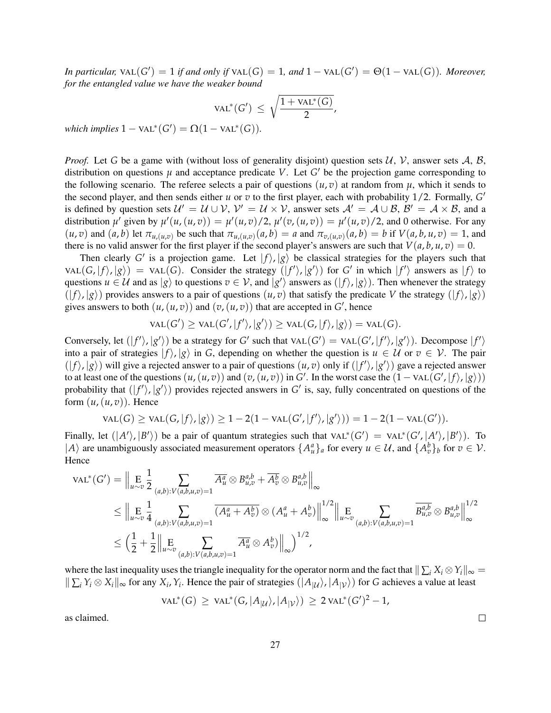*In particular,*  $\text{VAL}(G') = 1$  *if and only if*  $\text{VAL}(G) = 1$ *, and*  $1 - \text{VAL}(G') = \Theta(1 - \text{VAL}(G))$ *. Moreover, for the entangled value we have the weaker bound*

$$
\text{VAL}^*(G') \ \leq \ \sqrt{\frac{1 + \text{VAL}^*(G)}{2}},
$$

 $which implies 1 - \text{VAL}^*(G') = \Omega(1 - \text{VAL}^*(G)).$ 

*Proof.* Let *G* be a game with (without loss of generality disjoint) question sets  $\mathcal{U}$ ,  $\mathcal{V}$ , answer sets  $\mathcal{A}$ ,  $\mathcal{B}$ , distribution on questions  $\mu$  and acceptance predicate V. Let  $G'$  be the projection game corresponding to the following scenario. The referee selects a pair of questions  $(u, v)$  at random from  $u$ , which it sends to the second player, and then sends either  $u$  or  $v$  to the first player, each with probability  $1/2$ . Formally,  $G'$ is defined by question sets  $\mathcal{U}' = \mathcal{U} \cup \mathcal{V}$ ,  $\mathcal{V}' = \mathcal{U} \times \mathcal{V}$ , answer sets  $\mathcal{A}' = \mathcal{A} \cup \mathcal{B}$ ,  $\mathcal{B}' = \mathcal{A} \times \mathcal{B}$ , and a distribution  $\mu'$  given by  $\mu'(u,(u,v)) = \mu'(u,v)/2$ ,  $\mu'(v,(u,v)) = \mu'(u,v)/2$ , and 0 otherwise. For any  $(u,v)$  and  $(a,b)$  let  $\pi_{u,(u,v)}$  be such that  $\pi_{u,(u,v)}(a,b) = a$  and  $\pi_{v,(u,v)}(a,b) = b$  if  $V(a,b,u,v) = 1$ , and there is no valid answer for the first player if the second player's answers are such that  $V(a, b, u, v) = 0$ .

Then clearly G' is a projection game. Let  $|f\rangle$ ,  $|g\rangle$  be classical strategies for the players such that  $\text{VAL}(G, |f\rangle, |g\rangle) = \text{VAL}(G)$ . Consider the strategy  $(|f'\rangle, |g'\rangle)$  for *G'* in which  $|f'\rangle$  answers as  $|f\rangle$  to questions  $u \in U$  and as  $|g\rangle$  to questions  $v \in V$ , and  $|g'\rangle$  answers as  $(|f\rangle, |g\rangle)$ . Then whenever the strategy  $(|f\rangle, |g\rangle)$  provides answers to a pair of questions  $(u, v)$  that satisfy the predicate V the strategy  $(|f\rangle, |g\rangle)$ gives answers to both  $(u, (u, v))$  and  $(v, (u, v))$  that are accepted in  $G'$ , hence

$$
VAL(G') \ge \text{VAL}(G', |f'\rangle, |g'\rangle) \ge \text{VAL}(G, |f\rangle, |g\rangle) = \text{VAL}(G).
$$

Conversely, let  $(|f'\rangle, |g'\rangle)$  be a strategy for *G'* such that  $\text{VAL}(G') = \text{VAL}(G', |f'\rangle, |g'\rangle)$ . Decompose  $|f'\rangle$ into a pair of strategies  $|f\rangle, |g\rangle$  in *G*, depending on whether the question is  $u \in U$  or  $v \in V$ . The pair  $(|f\rangle, |g\rangle)$  will give a rejected answer to a pair of questions  $(u, v)$  only if  $(|f'\rangle, |g'\rangle)$  gave a rejected answer to at least one of the questions  $(u, (u, v))$  and  $(v, (u, v))$  in *G*'. In the worst case the  $(1 - \text{VAL}(G', |f\rangle, |g\rangle))$ probability that  $(|f'\rangle, |g'\rangle)$  provides rejected answers in *G'* is, say, fully concentrated on questions of the form  $(u, (u, v))$ . Hence

$$
VAL(G) \ge \text{VAL}(G, |f\rangle, |g\rangle) \ge 1 - 2(1 - \text{VAL}(G', |f'\rangle, |g'\rangle)) = 1 - 2(1 - \text{VAL}(G')).
$$

Finally, let  $(|A'\rangle, |B'\rangle)$  be a pair of quantum strategies such that  $\text{VAL}^*(G') = \text{VAL}^*(G', |A'\rangle, |B'\rangle)$ . To  $|A\rangle$  are unambiguously associated measurement operators  $\{A_u^a\}_a$  for every  $u \in \mathcal{U}$ , and  $\{A_v^b\}_b$  for  $v \in \mathcal{V}$ . Hence

$$
\operatorname{VAL}^*(G') = \Big\|\underset{u \sim v}{\mathbf{E}} \frac{1}{2} \sum_{(a,b):V(a,b,u,v)=1} \overline{A_u^a} \otimes B_{u,v}^{a,b} + \overline{A_v^b} \otimes B_{u,v}^{a,b} \Big\|_{\infty}
$$
  
\n
$$
\leq \Big\|\underset{u \sim v}{\mathbf{E}} \frac{1}{4} \sum_{(a,b):V(a,b,u,v)=1} (\overline{A_u^a + A_v^b}) \otimes (A_u^a + A_v^b) \Big\|_{\infty}^{1/2} \Big\| \underset{u \sim v}{\mathbf{E}} \sum_{(a,b):V(a,b,u,v)=1} \overline{B_{u,v}^{a,b}} \otimes B_{u,v}^{a,b} \Big\|_{\infty}^{1/2}
$$
  
\n
$$
\leq \Big(\frac{1}{2} + \frac{1}{2} \Big\| \underset{u \sim v}{\mathbf{E}} \sum_{(a,b):V(a,b,u,v)=1} \overline{A_u^a} \otimes A_v^b) \Big\|_{\infty} \Big)^{1/2},
$$

where the last inequality uses the triangle inequality for the operator norm and the fact that  $\|\sum_i X_i \otimes Y_i\|_{\infty} =$  $\sum_i Y_i \otimes X_i$ ,  $\infty$  for any  $X_i$ ,  $Y_i$ . Hence the pair of strategies  $(|A_{|\mathcal{U}}\rangle, |A_{|\mathcal{V}}\rangle)$  for *G* achieves a value at least

 $\text{VAL}^*(G) \geq \text{VAL}^*(G, |A_{|U}\rangle, |A_{|V}\rangle) \geq 2 \text{VAL}^*(G')^2 - 1$ 

as claimed.

 $\Box$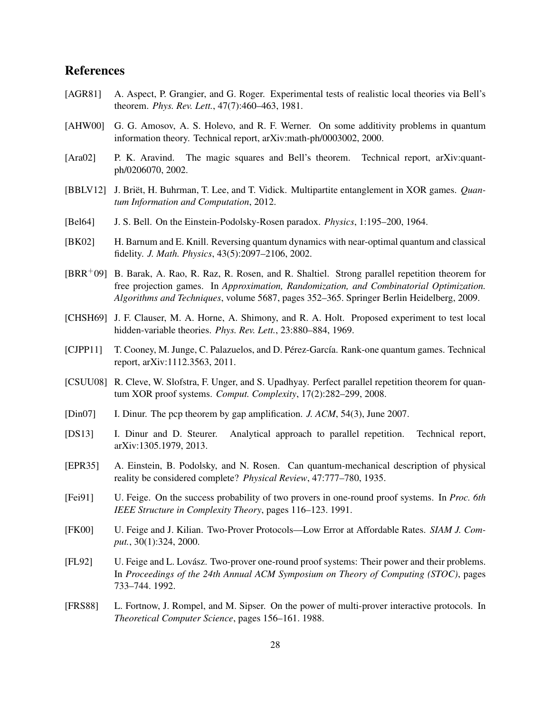### References

- <span id="page-27-3"></span>[AGR81] A. Aspect, P. Grangier, and G. Roger. Experimental tests of realistic local theories via Bell's theorem. *Phys. Rev. Lett.*, 47(7):460–463, 1981.
- <span id="page-27-12"></span>[AHW00] G. G. Amosov, A. S. Holevo, and R. F. Werner. On some additivity problems in quantum information theory. Technical report, arXiv:math-ph/0003002, 2000.
- <span id="page-27-4"></span>[Ara02] P. K. Aravind. The magic squares and Bell's theorem. Technical report, arXiv:quantph/0206070, 2002.
- <span id="page-27-15"></span>[BBLV12] J. Briët, H. Buhrman, T. Lee, and T. Vidick. Multipartite entanglement in XOR games. *Quantum Information and Computation*, 2012.
- <span id="page-27-1"></span>[Bel64] J. S. Bell. On the Einstein-Podolsky-Rosen paradox. *Physics*, 1:195–200, 1964.
- <span id="page-27-16"></span>[BK02] H. Barnum and E. Knill. Reversing quantum dynamics with near-optimal quantum and classical fidelity. *J. Math. Physics*, 43(5):2097–2106, 2002.
- <span id="page-27-9"></span>[BRR+09] B. Barak, A. Rao, R. Raz, R. Rosen, and R. Shaltiel. Strong parallel repetition theorem for free projection games. In *Approximation, Randomization, and Combinatorial Optimization. Algorithms and Techniques*, volume 5687, pages 352–365. Springer Berlin Heidelberg, 2009.
- <span id="page-27-2"></span>[CHSH69] J. F. Clauser, M. A. Horne, A. Shimony, and R. A. Holt. Proposed experiment to test local hidden-variable theories. *Phys. Rev. Lett.*, 23:880–884, 1969.
- <span id="page-27-14"></span>[CJPP11] T. Cooney, M. Junge, C. Palazuelos, and D. Pérez-García. Rank-one quantum games. Technical report, arXiv:1112.3563, 2011.
- <span id="page-27-6"></span>[CSUU08] R. Cleve, W. Slofstra, F. Unger, and S. Upadhyay. Perfect parallel repetition theorem for quantum XOR proof systems. *Comput. Complexity*, 17(2):282–299, 2008.
- <span id="page-27-13"></span>[Din07] I. Dinur. The pcp theorem by gap amplification. *J. ACM*, 54(3), June 2007.
- <span id="page-27-10"></span>[DS13] I. Dinur and D. Steurer. Analytical approach to parallel repetition. Technical report, arXiv:1305.1979, 2013.
- <span id="page-27-0"></span>[EPR35] A. Einstein, B. Podolsky, and N. Rosen. Can quantum-mechanical description of physical reality be considered complete? *Physical Review*, 47:777–780, 1935.
- <span id="page-27-7"></span>[Fei91] U. Feige. On the success probability of two provers in one-round proof systems. In *Proc. 6th IEEE Structure in Complexity Theory*, pages 116–123. 1991.
- <span id="page-27-8"></span>[FK00] U. Feige and J. Kilian. Two-Prover Protocols—Low Error at Affordable Rates. *SIAM J. Comput.*, 30(1):324, 2000.
- <span id="page-27-5"></span>[FL92] U. Feige and L. Lovasz. Two-prover one-round proof systems: Their power and their problems. ´ In *Proceedings of the 24th Annual ACM Symposium on Theory of Computing (STOC)*, pages 733–744. 1992.
- <span id="page-27-11"></span>[FRS88] L. Fortnow, J. Rompel, and M. Sipser. On the power of multi-prover interactive protocols. In *Theoretical Computer Science*, pages 156–161. 1988.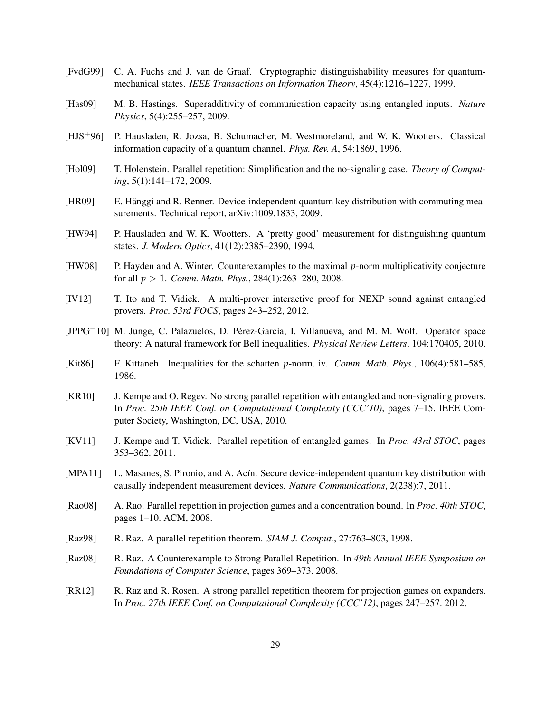- <span id="page-28-16"></span>[FvdG99] C. A. Fuchs and J. van de Graaf. Cryptographic distinguishability measures for quantummechanical states. *IEEE Transactions on Information Theory*, 45(4):1216–1227, 1999.
- <span id="page-28-11"></span>[Has09] M. B. Hastings. Superadditivity of communication capacity using entangled inputs. *Nature Physics*, 5(4):255–257, 2009.
- <span id="page-28-13"></span>[HJS+96] P. Hausladen, R. Jozsa, B. Schumacher, M. Westmoreland, and W. K. Wootters. Classical information capacity of a quantum channel. *Phys. Rev. A*, 54:1869, 1996.
- <span id="page-28-2"></span>[Hol09] T. Holenstein. Parallel repetition: Simplification and the no-signaling case. *Theory of Computing*, 5(1):141–172, 2009.
- <span id="page-28-5"></span>[HR09] E. Hänggi and R. Renner. Device-independent quantum key distribution with commuting measurements. Technical report, arXiv:1009.1833, 2009.
- <span id="page-28-12"></span>[HW94] P. Hausladen and W. K. Wootters. A 'pretty good' measurement for distinguishing quantum states. *J. Modern Optics*, 41(12):2385–2390, 1994.
- <span id="page-28-10"></span>[HW08] P. Hayden and A. Winter. Counterexamples to the maximal *p*-norm multiplicativity conjecture for all *p* > 1. *Comm. Math. Phys.*, 284(1):263–280, 2008.
- <span id="page-28-9"></span>[IV12] T. Ito and T. Vidick. A multi-prover interactive proof for NEXP sound against entangled provers. *Proc. 53rd FOCS*, pages 243–252, 2012.
- <span id="page-28-14"></span> $[JPPG<sup>+</sup>10]$  M. Junge, C. Palazuelos, D. Pérez-García, I. Villanueva, and M. M. Wolf. Operator space theory: A natural framework for Bell inequalities. *Physical Review Letters*, 104:170405, 2010.
- <span id="page-28-15"></span>[Kit86] F. Kittaneh. Inequalities for the schatten *p*-norm. iv. *Comm. Math. Phys.*, 106(4):581–585, 1986.
- <span id="page-28-1"></span>[KR10] J. Kempe and O. Regev. No strong parallel repetition with entangled and non-signaling provers. In *Proc. 25th IEEE Conf. on Computational Complexity (CCC'10)*, pages 7–15. IEEE Computer Society, Washington, DC, USA, 2010.
- <span id="page-28-7"></span>[KV11] J. Kempe and T. Vidick. Parallel repetition of entangled games. In *Proc. 43rd STOC*, pages 353–362. 2011.
- <span id="page-28-6"></span>[MPA11] L. Masanes, S. Pironio, and A. Acín. Secure device-independent quantum key distribution with causally independent measurement devices. *Nature Communications*, 2(238):7, 2011.
- <span id="page-28-3"></span>[Rao08] A. Rao. Parallel repetition in projection games and a concentration bound. In *Proc. 40th STOC*, pages 1–10. ACM, 2008.
- <span id="page-28-0"></span>[Raz98] R. Raz. A parallel repetition theorem. *SIAM J. Comput.*, 27:763–803, 1998.
- <span id="page-28-8"></span>[Raz08] R. Raz. A Counterexample to Strong Parallel Repetition. In *49th Annual IEEE Symposium on Foundations of Computer Science*, pages 369–373. 2008.
- <span id="page-28-4"></span>[RR12] R. Raz and R. Rosen. A strong parallel repetition theorem for projection games on expanders. In *Proc. 27th IEEE Conf. on Computational Complexity (CCC'12)*, pages 247–257. 2012.